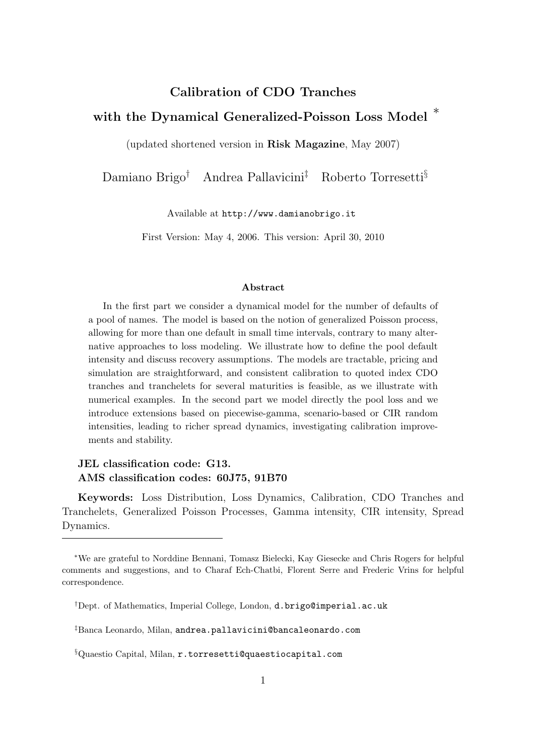#### Calibration of CDO Tranches

## with the Dynamical Generalized-Poisson Loss Model <sup>\*</sup>

(updated shortened version in Risk Magazine, May 2007)

Damiano Brigo† Andrea Pallavicini‡ Roberto Torresetti§

Available at http://www.damianobrigo.it

First Version: May 4, 2006. This version: April 30, 2010

#### Abstract

In the first part we consider a dynamical model for the number of defaults of a pool of names. The model is based on the notion of generalized Poisson process, allowing for more than one default in small time intervals, contrary to many alternative approaches to loss modeling. We illustrate how to define the pool default intensity and discuss recovery assumptions. The models are tractable, pricing and simulation are straightforward, and consistent calibration to quoted index CDO tranches and tranchelets for several maturities is feasible, as we illustrate with numerical examples. In the second part we model directly the pool loss and we introduce extensions based on piecewise-gamma, scenario-based or CIR random intensities, leading to richer spread dynamics, investigating calibration improvements and stability.

#### JEL classification code: G13. AMS classification codes: 60J75, 91B70

Keywords: Loss Distribution, Loss Dynamics, Calibration, CDO Tranches and Tranchelets, Generalized Poisson Processes, Gamma intensity, CIR intensity, Spread Dynamics.

<sup>∗</sup>We are grateful to Norddine Bennani, Tomasz Bielecki, Kay Giesecke and Chris Rogers for helpful comments and suggestions, and to Charaf Ech-Chatbi, Florent Serre and Frederic Vrins for helpful correspondence.

<sup>†</sup>Dept. of Mathematics, Imperial College, London, d.brigo@imperial.ac.uk

<sup>‡</sup>Banca Leonardo, Milan, andrea.pallavicini@bancaleonardo.com

<sup>§</sup>Quaestio Capital, Milan, r.torresetti@quaestiocapital.com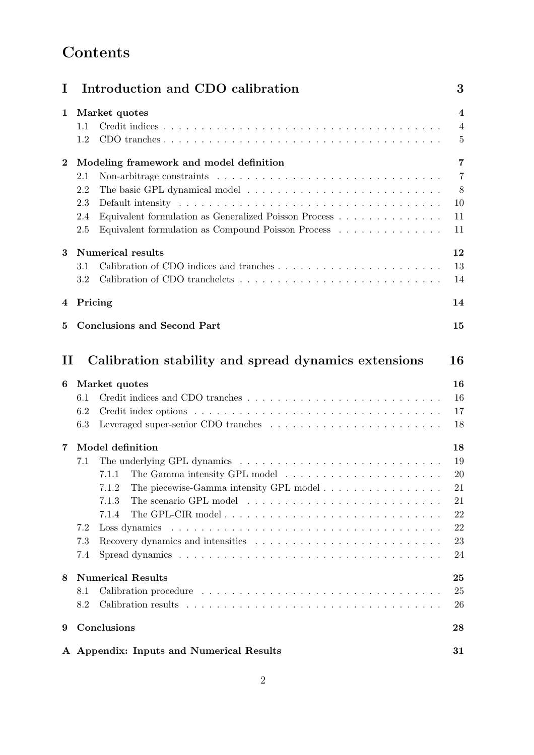## **Contents**

| Ι        | Introduction and CDO calibration                                                                                                                                                          | 3                                                           |
|----------|-------------------------------------------------------------------------------------------------------------------------------------------------------------------------------------------|-------------------------------------------------------------|
| 1        | Market quotes<br>1.1<br>1.2                                                                                                                                                               | $\overline{\mathbf{4}}$<br>$\overline{4}$<br>$\overline{5}$ |
| $\bf{2}$ | Modeling framework and model definition<br>2.1<br>2.2<br>2.3<br>Equivalent formulation as Generalized Poisson Process<br>2.4<br>Equivalent formulation as Compound Poisson Process<br>2.5 | $\overline{7}$<br>$\overline{7}$<br>8<br>10<br>11<br>11     |
| 3        | <b>Numerical results</b><br>$3.1\,$<br>3.2                                                                                                                                                | 12<br>13<br>14                                              |
| 4        | Pricing                                                                                                                                                                                   | 14                                                          |
| 5        | <b>Conclusions and Second Part</b>                                                                                                                                                        | 15                                                          |
| $\rm II$ | Calibration stability and spread dynamics extensions                                                                                                                                      | 16                                                          |
| 6        | Market quotes<br>6.1<br>6.2<br>6.3                                                                                                                                                        | 16<br>16<br>17<br>18                                        |
| 7        | Model definition<br>7.1<br>7.1.1<br>7.1.2<br>The piecewise-Gamma intensity GPL model<br>7.1.3<br>7.1.4<br>7.2<br>7.3<br>7.4                                                               | 18<br>19<br>20<br>21<br>21<br>22<br>22<br>23<br>24          |
| 8        | <b>Numerical Results</b><br>8.1<br>8.2                                                                                                                                                    | 25<br>25<br>26                                              |
| 9        | Conclusions                                                                                                                                                                               | 28                                                          |
|          | A Appendix: Inputs and Numerical Results                                                                                                                                                  | 31                                                          |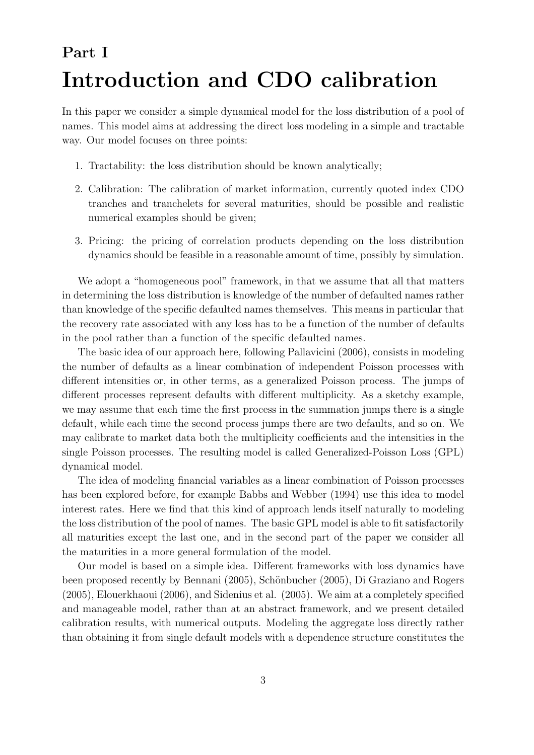# Part I Introduction and CDO calibration

In this paper we consider a simple dynamical model for the loss distribution of a pool of names. This model aims at addressing the direct loss modeling in a simple and tractable way. Our model focuses on three points:

- 1. Tractability: the loss distribution should be known analytically;
- 2. Calibration: The calibration of market information, currently quoted index CDO tranches and tranchelets for several maturities, should be possible and realistic numerical examples should be given;
- 3. Pricing: the pricing of correlation products depending on the loss distribution dynamics should be feasible in a reasonable amount of time, possibly by simulation.

We adopt a "homogeneous pool" framework, in that we assume that all that matters in determining the loss distribution is knowledge of the number of defaulted names rather than knowledge of the specific defaulted names themselves. This means in particular that the recovery rate associated with any loss has to be a function of the number of defaults in the pool rather than a function of the specific defaulted names.

The basic idea of our approach here, following Pallavicini (2006), consists in modeling the number of defaults as a linear combination of independent Poisson processes with different intensities or, in other terms, as a generalized Poisson process. The jumps of different processes represent defaults with different multiplicity. As a sketchy example, we may assume that each time the first process in the summation jumps there is a single default, while each time the second process jumps there are two defaults, and so on. We may calibrate to market data both the multiplicity coefficients and the intensities in the single Poisson processes. The resulting model is called Generalized-Poisson Loss (GPL) dynamical model.

The idea of modeling financial variables as a linear combination of Poisson processes has been explored before, for example Babbs and Webber (1994) use this idea to model interest rates. Here we find that this kind of approach lends itself naturally to modeling the loss distribution of the pool of names. The basic GPL model is able to fit satisfactorily all maturities except the last one, and in the second part of the paper we consider all the maturities in a more general formulation of the model.

Our model is based on a simple idea. Different frameworks with loss dynamics have been proposed recently by Bennani (2005), Schönbucher (2005), Di Graziano and Rogers (2005), Elouerkhaoui (2006), and Sidenius et al. (2005). We aim at a completely specified and manageable model, rather than at an abstract framework, and we present detailed calibration results, with numerical outputs. Modeling the aggregate loss directly rather than obtaining it from single default models with a dependence structure constitutes the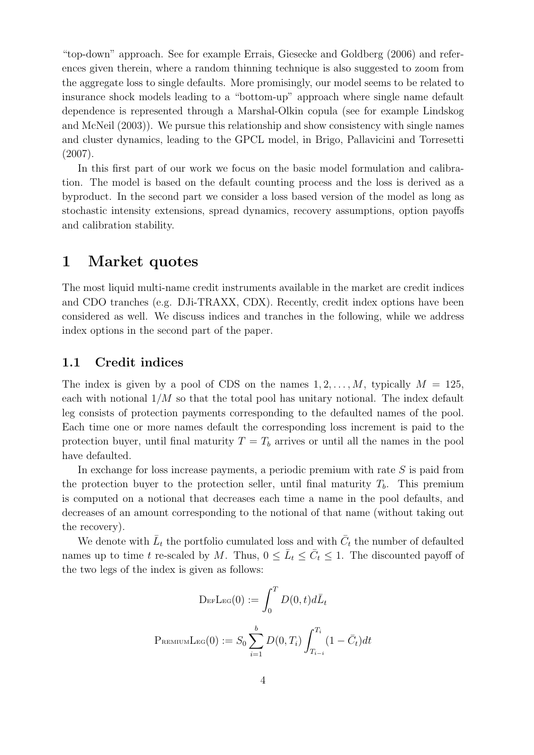"top-down" approach. See for example Errais, Giesecke and Goldberg (2006) and references given therein, where a random thinning technique is also suggested to zoom from the aggregate loss to single defaults. More promisingly, our model seems to be related to insurance shock models leading to a "bottom-up" approach where single name default dependence is represented through a Marshal-Olkin copula (see for example Lindskog and McNeil (2003)). We pursue this relationship and show consistency with single names and cluster dynamics, leading to the GPCL model, in Brigo, Pallavicini and Torresetti (2007).

In this first part of our work we focus on the basic model formulation and calibration. The model is based on the default counting process and the loss is derived as a byproduct. In the second part we consider a loss based version of the model as long as stochastic intensity extensions, spread dynamics, recovery assumptions, option payoffs and calibration stability.

## 1 Market quotes

The most liquid multi-name credit instruments available in the market are credit indices and CDO tranches (e.g. DJi-TRAXX, CDX). Recently, credit index options have been considered as well. We discuss indices and tranches in the following, while we address index options in the second part of the paper.

#### 1.1 Credit indices

The index is given by a pool of CDS on the names  $1, 2, \ldots, M$ , typically  $M = 125$ , each with notional  $1/M$  so that the total pool has unitary notional. The index default leg consists of protection payments corresponding to the defaulted names of the pool. Each time one or more names default the corresponding loss increment is paid to the protection buyer, until final maturity  $T = T_b$  arrives or until all the names in the pool have defaulted.

In exchange for loss increase payments, a periodic premium with rate  $S$  is paid from the protection buyer to the protection seller, until final maturity  $T_b$ . This premium is computed on a notional that decreases each time a name in the pool defaults, and decreases of an amount corresponding to the notional of that name (without taking out the recovery).

We denote with  $\bar{L}_t$  the portfolio cumulated loss and with  $\bar{C}_t$  the number of defaulted names up to time t re-scaled by M. Thus,  $0 \leq \bar{L}_t \leq \bar{C}_t \leq 1$ . The discounted payoff of the two legs of the index is given as follows:

$$
\text{DefLeg}(0) := \int_0^T D(0, t) d\bar{L}_t
$$

$$
\text{PremuumLeg}(0) := S_0 \sum_{i=1}^b D(0, T_i) \int_{T_{i-i}}^{T_i} (1 - \bar{C}_t) dt
$$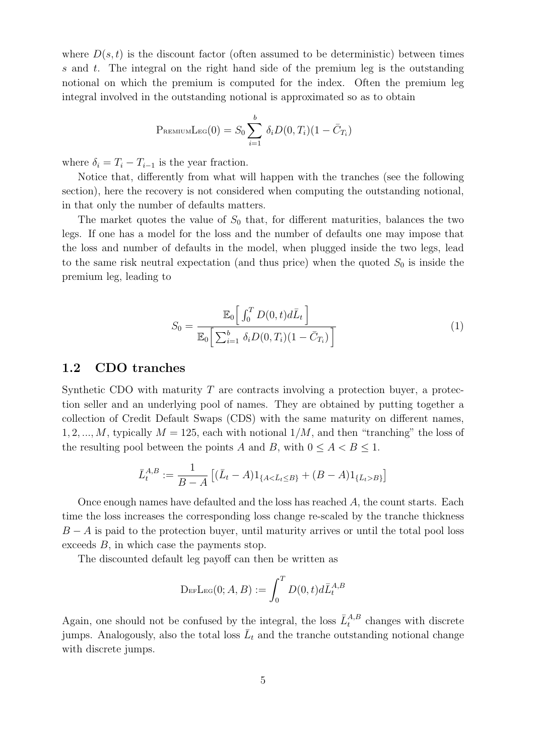where  $D(s,t)$  is the discount factor (often assumed to be deterministic) between times s and t. The integral on the right hand side of the premium leg is the outstanding notional on which the premium is computed for the index. Often the premium leg integral involved in the outstanding notional is approximated so as to obtain

$$
P_{\text{remu} \cup \text{MeG}}(0) = S_0 \sum_{i=1}^{b} \delta_i D(0, T_i) (1 - \bar{C}_{T_i})
$$

where  $\delta_i = T_i - T_{i-1}$  is the year fraction.

Notice that, differently from what will happen with the tranches (see the following section), here the recovery is not considered when computing the outstanding notional, in that only the number of defaults matters.

The market quotes the value of  $S_0$  that, for different maturities, balances the two legs. If one has a model for the loss and the number of defaults one may impose that the loss and number of defaults in the model, when plugged inside the two legs, lead to the same risk neutral expectation (and thus price) when the quoted  $S_0$  is inside the premium leg, leading to

$$
S_0 = \frac{\mathbb{E}_0\left[\int_0^T D(0, t) d\bar{L}_t\right]}{\mathbb{E}_0\left[\sum_{i=1}^b \delta_i D(0, T_i)(1 - \bar{C}_{T_i})\right]}
$$
(1)

#### 1.2 CDO tranches

Synthetic CDO with maturity  $T$  are contracts involving a protection buyer, a protection seller and an underlying pool of names. They are obtained by putting together a collection of Credit Default Swaps (CDS) with the same maturity on different names, 1, 2, ..., M, typically  $M = 125$ , each with notional  $1/M$ , and then "tranching" the loss of the resulting pool between the points A and B, with  $0 \leq A < B \leq 1$ .

$$
\bar{L}_{t}^{A,B} := \frac{1}{B-A} \left[ (\bar{L}_{t} - A) 1_{\{A < \bar{L}_{t} \leq B\}} + (B - A) 1_{\{\bar{L}_{t} > B\}} \right]
$$

Once enough names have defaulted and the loss has reached A, the count starts. Each time the loss increases the corresponding loss change re-scaled by the tranche thickness  $B - A$  is paid to the protection buyer, until maturity arrives or until the total pool loss exceeds B, in which case the payments stop.

The discounted default leg payoff can then be written as

$$
\mathrm{DefL}_{\mathrm{EG}}(0;A,B):=\int_0^T D(0,t) d\bar{L}^{A,B}_t
$$

Again, one should not be confused by the integral, the loss  $\bar{L}^{A,B}_t$  changes with discrete jumps. Analogously, also the total loss  $\bar{L}_t$  and the tranche outstanding notional change with discrete jumps.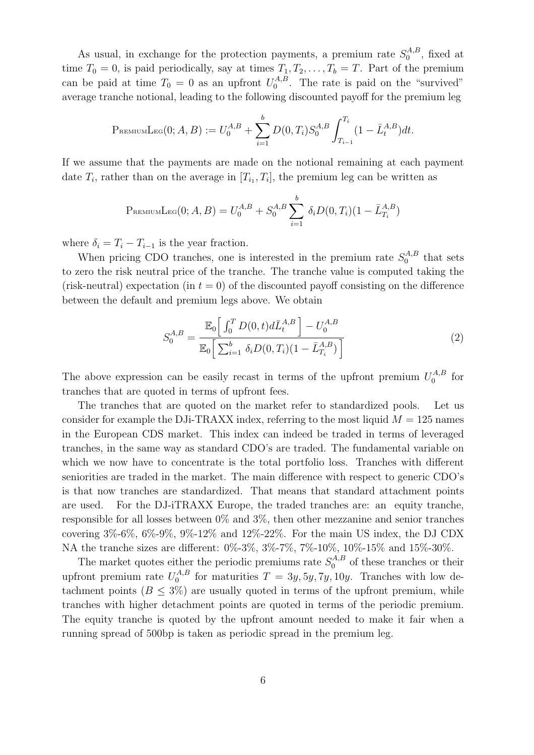As usual, in exchange for the protection payments, a premium rate  $S_0^{A,B}$  $_0^{A,B}$ , fixed at time  $T_0 = 0$ , is paid periodically, say at times  $T_1, T_2, \ldots, T_b = T$ . Part of the premium can be paid at time  $T_0 = 0$  as an upfront  $U_0^{A,B}$  $_{0}^{A,B}$ . The rate is paid on the "survived" average tranche notional, leading to the following discounted payoff for the premium leg

$$
P_{REMIUMLEG}(0; A, B) := U_0^{A,B} + \sum_{i=1}^{b} D(0,T_i) S_0^{A,B} \int_{T_{i-1}}^{T_i} (1 - \bar{L}_t^{A,B}) dt.
$$

If we assume that the payments are made on the notional remaining at each payment date  $T_i$ , rather than on the average in  $[T_{i_1}, T_i]$ , the premium leg can be written as

$$
P_{REMIUMLEG}(0; A, B) = U_0^{A,B} + S_0^{A,B} \sum_{i=1}^b \delta_i D(0, T_i) (1 - \bar{L}_{T_i}^{A,B})
$$

where  $\delta_i = T_i - T_{i-1}$  is the year fraction.

When pricing CDO tranches, one is interested in the premium rate  $S_0^{A,B}$  $n^{A,B}$  that sets to zero the risk neutral price of the tranche. The tranche value is computed taking the (risk-neutral) expectation (in  $t = 0$ ) of the discounted payoff consisting on the difference between the default and premium legs above. We obtain

$$
S_0^{A,B} = \frac{\mathbb{E}_0 \left[ \int_0^T D(0,t) d\bar{L}_t^{A,B} \right] - U_0^{A,B}}{\mathbb{E}_0 \left[ \sum_{i=1}^b \delta_i D(0,T_i) (1 - \bar{L}_{T_i}^{A,B}) \right]}
$$
(2)

The above expression can be easily recast in terms of the upfront premium  $U_0^{A,B}$  $\int_0^{A,B}$  for tranches that are quoted in terms of upfront fees.

The tranches that are quoted on the market refer to standardized pools. Let us consider for example the DJ<sub>1</sub>-TRAXX index, referring to the most liquid  $M = 125$  names in the European CDS market. This index can indeed be traded in terms of leveraged tranches, in the same way as standard CDO's are traded. The fundamental variable on which we now have to concentrate is the total portfolio loss. Tranches with different seniorities are traded in the market. The main difference with respect to generic CDO's is that now tranches are standardized. That means that standard attachment points are used. For the DJ-iTRAXX Europe, the traded tranches are: an equity tranche, responsible for all losses between 0% and 3%, then other mezzanine and senior tranches covering 3%-6%, 6%-9%, 9%-12% and 12%-22%. For the main US index, the DJ CDX NA the tranche sizes are different: 0%-3%, 3%-7%, 7%-10%, 10%-15% and 15%-30%.

The market quotes either the periodic premiums rate  $S_0^{A,B}$  $_{0}^{A,B}$  of these tranches or their upfront premium rate  $U_0^{A,B}$  $_0^{A,B}$  for maturities  $T = 3y, 5y, 7y, 10y$ . Tranches with low detachment points ( $B \leq 3\%$ ) are usually quoted in terms of the upfront premium, while tranches with higher detachment points are quoted in terms of the periodic premium. The equity tranche is quoted by the upfront amount needed to make it fair when a running spread of 500bp is taken as periodic spread in the premium leg.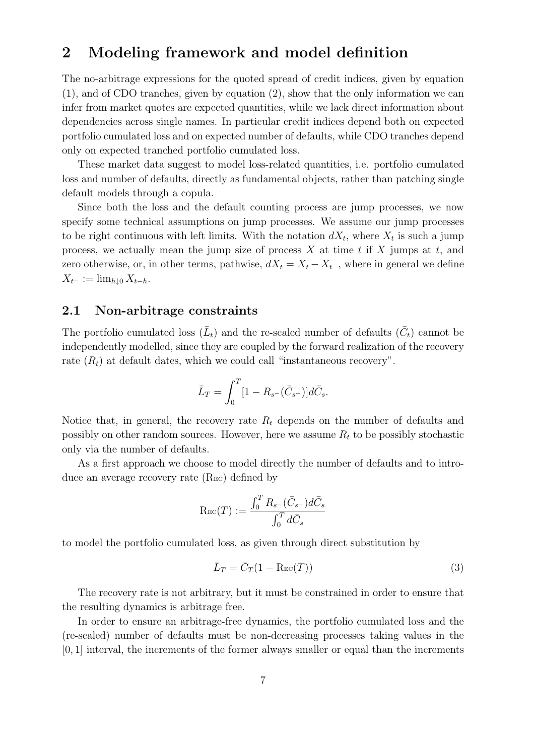## 2 Modeling framework and model definition

The no-arbitrage expressions for the quoted spread of credit indices, given by equation (1), and of CDO tranches, given by equation (2), show that the only information we can infer from market quotes are expected quantities, while we lack direct information about dependencies across single names. In particular credit indices depend both on expected portfolio cumulated loss and on expected number of defaults, while CDO tranches depend only on expected tranched portfolio cumulated loss.

These market data suggest to model loss-related quantities, i.e. portfolio cumulated loss and number of defaults, directly as fundamental objects, rather than patching single default models through a copula.

Since both the loss and the default counting process are jump processes, we now specify some technical assumptions on jump processes. We assume our jump processes to be right continuous with left limits. With the notation  $dX_t$ , where  $X_t$  is such a jump process, we actually mean the jump size of process  $X$  at time  $t$  if  $X$  jumps at  $t$ , and zero otherwise, or, in other terms, pathwise,  $dX_t = X_t - X_{t-}$ , where in general we define  $X_{t^-} := \lim_{h \downarrow 0} X_{t-h}.$ 

#### 2.1 Non-arbitrage constraints

The portfolio cumulated loss  $(\bar{L}_t)$  and the re-scaled number of defaults  $(\bar{C}_t)$  cannot be independently modelled, since they are coupled by the forward realization of the recovery rate  $(R_t)$  at default dates, which we could call "instantaneous recovery".

$$
\bar{L}_T = \int_0^T [1 - R_{s^-}(\bar{C}_{s^-})] d\bar{C}_s.
$$

Notice that, in general, the recovery rate  $R_t$  depends on the number of defaults and possibly on other random sources. However, here we assume  $R_t$  to be possibly stochastic only via the number of defaults.

As a first approach we choose to model directly the number of defaults and to introduce an average recovery rate  $(R_{EC})$  defined by

$$
\mathrm{Rec}(T):=\frac{\int_0^T R_{s^-}(\bar{C}_{s^-})d\bar{C}_s}{\int_0^T d\bar{C}_s}
$$

to model the portfolio cumulated loss, as given through direct substitution by

$$
\bar{L}_T = \bar{C}_T (1 - \text{Rec}(T))
$$
\n(3)

The recovery rate is not arbitrary, but it must be constrained in order to ensure that the resulting dynamics is arbitrage free.

In order to ensure an arbitrage-free dynamics, the portfolio cumulated loss and the (re-scaled) number of defaults must be non-decreasing processes taking values in the [0, 1] interval, the increments of the former always smaller or equal than the increments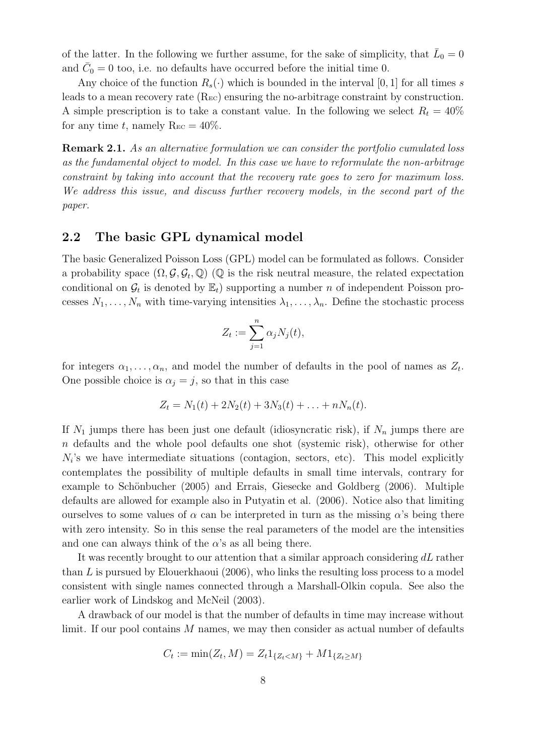of the latter. In the following we further assume, for the sake of simplicity, that  $\bar{L}_0 = 0$ and  $\bar{C}_0 = 0$  too, i.e. no defaults have occurred before the initial time 0.

Any choice of the function  $R_s(\cdot)$  which is bounded in the interval [0, 1] for all times s leads to a mean recovery rate  $(R_{EC})$  ensuring the no-arbitrage constraint by construction. A simple prescription is to take a constant value. In the following we select  $R_t = 40\%$ for any time t, namely  $\text{R}_{\text{EC}} = 40\%$ .

**Remark 2.1.** As an alternative formulation we can consider the portfolio cumulated loss as the fundamental object to model. In this case we have to reformulate the non-arbitrage constraint by taking into account that the recovery rate goes to zero for maximum loss. We address this issue, and discuss further recovery models, in the second part of the paper.

#### 2.2 The basic GPL dynamical model

The basic Generalized Poisson Loss (GPL) model can be formulated as follows. Consider a probability space  $(\Omega, \mathcal{G}, \mathcal{G}_t, \mathbb{Q})$  ( $\mathbb Q$  is the risk neutral measure, the related expectation conditional on  $\mathcal{G}_t$  is denoted by  $\mathbb{E}_t$ ) supporting a number n of independent Poisson processes  $N_1, \ldots, N_n$  with time-varying intensities  $\lambda_1, \ldots, \lambda_n$ . Define the stochastic process

$$
Z_t := \sum_{j=1}^n \alpha_j N_j(t),
$$

for integers  $\alpha_1, \ldots, \alpha_n$ , and model the number of defaults in the pool of names as  $Z_t$ . One possible choice is  $\alpha_j = j$ , so that in this case

$$
Z_t = N_1(t) + 2N_2(t) + 3N_3(t) + \ldots + nN_n(t).
$$

If  $N_1$  jumps there has been just one default (idiosyncratic risk), if  $N_n$  jumps there are n defaults and the whole pool defaults one shot (systemic risk), otherwise for other  $N_i$ 's we have intermediate situations (contagion, sectors, etc). This model explicitly contemplates the possibility of multiple defaults in small time intervals, contrary for example to Schönbucher (2005) and Errais, Giesecke and Goldberg (2006). Multiple defaults are allowed for example also in Putyatin et al. (2006). Notice also that limiting ourselves to some values of  $\alpha$  can be interpreted in turn as the missing  $\alpha$ 's being there with zero intensity. So in this sense the real parameters of the model are the intensities and one can always think of the  $\alpha$ 's as all being there.

It was recently brought to our attention that a similar approach considering dL rather than  $L$  is pursued by Elouerkhaoui (2006), who links the resulting loss process to a model consistent with single names connected through a Marshall-Olkin copula. See also the earlier work of Lindskog and McNeil (2003).

A drawback of our model is that the number of defaults in time may increase without limit. If our pool contains  $M$  names, we may then consider as actual number of defaults

$$
C_t := \min(Z_t, M) = Z_t 1_{\{Z_t < M\}} + M 1_{\{Z_t \ge M\}}
$$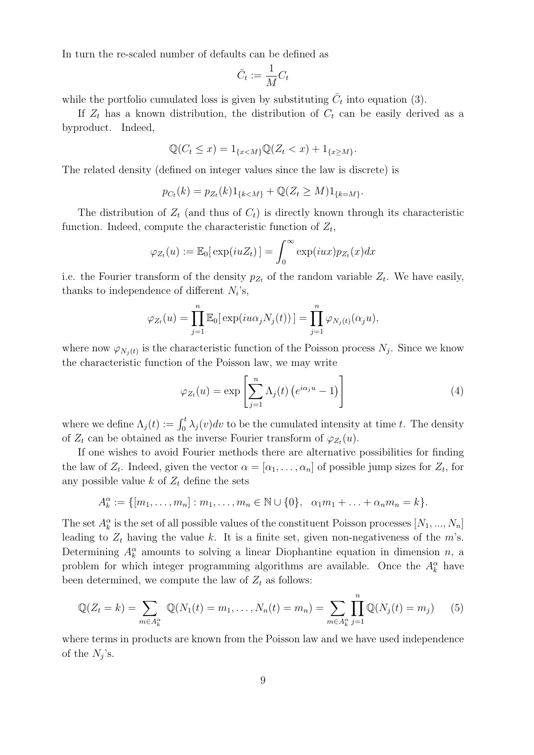In turn the re-scaled number of defaults can be defined as

$$
\bar{C}_t:=\frac{1}{M}C_t
$$

while the portfolio cumulated loss is given by substituting  $\bar{C}_t$  into equation (3).

If  $Z_t$  has a known distribution, the distribution of  $C_t$  can be easily derived as a byproduct. Indeed,

$$
\mathbb{Q}(C_t \le x) = 1_{\{x < M\}} \mathbb{Q}(Z_t < x) + 1_{\{x \ge M\}}.
$$

The related density (defined on integer values since the law is discrete) is

$$
p_{C_t}(k) = p_{Z_t}(k)1_{\{k < M\}} + \mathbb{Q}(Z_t \ge M)1_{\{k = M\}}.
$$

The distribution of  $Z_t$  (and thus of  $C_t$ ) is directly known through its characteristic function. Indeed, compute the characteristic function of  $Z_t$ ,

$$
\varphi_{Z_t}(u) := \mathbb{E}_0[\exp(iuZ_t)] = \int_0^\infty \exp(iux)p_{Z_t}(x)dx
$$

i.e. the Fourier transform of the density  $p_{Z_t}$  of the random variable  $Z_t$ . We have easily, thanks to independence of different  $N_i$ 's,

$$
\varphi_{Z_t}(u) = \prod_{j=1}^n \mathbb{E}_0[\exp(iu\alpha_j N_j(t))] = \prod_{j=1}^n \varphi_{N_j(t)}(\alpha_j u),
$$

where now  $\varphi_{N_j(t)}$  is the characteristic function of the Poisson process  $N_j$ . Since we know the characteristic function of the Poisson law, we may write

$$
\varphi_{Z_t}(u) = \exp\left[\sum_{j=1}^n \Lambda_j(t) \left(e^{i\alpha_j u} - 1\right)\right]
$$
\n(4)

where we define  $\Lambda_j(t) := \int_0^t \lambda_j(v) dv$  to be the cumulated intensity at time t. The density of  $Z_t$  can be obtained as the inverse Fourier transform of  $\varphi_{Z_t}(u)$ .

If one wishes to avoid Fourier methods there are alternative possibilities for finding the law of  $Z_t$ . Indeed, given the vector  $\alpha = [\alpha_1, \ldots, \alpha_n]$  of possible jump sizes for  $Z_t$ , for any possible value k of  $Z_t$  define the sets

$$
A_k^{\alpha} := \{ [m_1, \ldots, m_n] : m_1, \ldots, m_n \in \mathbb{N} \cup \{0\}, \ \alpha_1 m_1 + \ldots + \alpha_n m_n = k \}.
$$

The set  $A_k^{\alpha}$  is the set of all possible values of the constituent Poisson processes  $[N_1, ..., N_n]$ leading to  $Z_t$  having the value k. It is a finite set, given non-negativeness of the m's. Determining  $A_k^{\alpha}$  amounts to solving a linear Diophantine equation in dimension n, a problem for which integer programming algorithms are available. Once the  $A_k^{\alpha}$  have been determined, we compute the law of  $Z_t$  as follows:

$$
\mathbb{Q}(Z_t = k) = \sum_{m \in A_k^{\alpha}} \mathbb{Q}(N_1(t) = m_1, \dots, N_n(t) = m_n) = \sum_{m \in A_k^{\alpha}} \prod_{j=1}^n \mathbb{Q}(N_j(t) = m_j)
$$
(5)

where terms in products are known from the Poisson law and we have used independence of the  $N_j$ 's.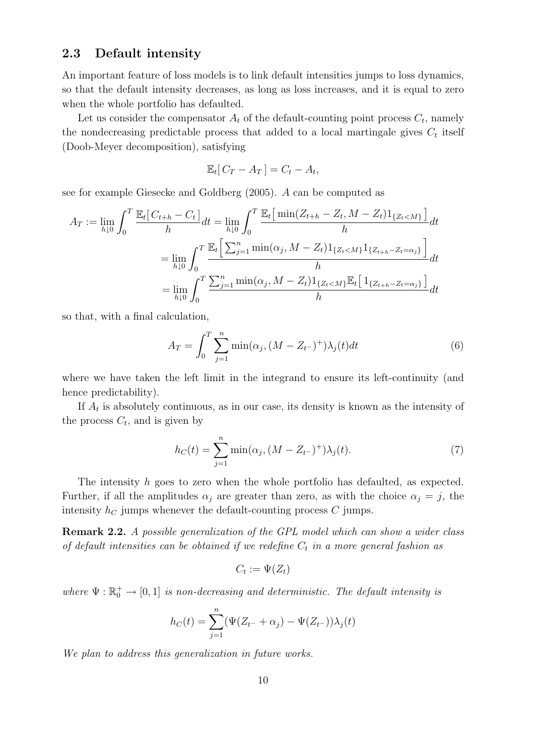#### 2.3 Default intensity

An important feature of loss models is to link default intensities jumps to loss dynamics, so that the default intensity decreases, as long as loss increases, and it is equal to zero when the whole portfolio has defaulted.

Let us consider the compensator  $A_t$  of the default-counting point process  $C_t$ , namely the nondecreasing predictable process that added to a local martingale gives  $C_t$  itself (Doob-Meyer decomposition), satisfying

$$
\mathbb{E}_t[C_T - A_T] = C_t - A_t,
$$

see for example Giesecke and Goldberg (2005). A can be computed as

$$
A_T := \lim_{h \downarrow 0} \int_0^T \frac{\mathbb{E}_t[C_{t+h} - C_t]}{h} dt = \lim_{h \downarrow 0} \int_0^T \frac{\mathbb{E}_t[\min(Z_{t+h} - Z_t, M - Z_t)1_{\{Z_t < M\}}]}{h} dt
$$
  

$$
= \lim_{h \downarrow 0} \int_0^T \frac{\mathbb{E}_t[\sum_{j=1}^n \min(\alpha_j, M - Z_t)1_{\{Z_t < M\}}1_{\{Z_{t+h} - Z_t = \alpha_j\}}]}{h} dt
$$
  

$$
= \lim_{h \downarrow 0} \int_0^T \frac{\sum_{j=1}^n \min(\alpha_j, M - Z_t)1_{\{Z_t < M\}} \mathbb{E}_t[1_{\{Z_{t+h} - Z_t = \alpha_j\}}]}{h} dt
$$

so that, with a final calculation,

$$
A_T = \int_0^T \sum_{j=1}^n \min(\alpha_j, (M - Z_{t-})^+) \lambda_j(t) dt
$$
 (6)

where we have taken the left limit in the integrand to ensure its left-continuity (and hence predictability).

If  $A_t$  is absolutely continuous, as in our case, its density is known as the intensity of the process  $C_t$ , and is given by

$$
h_C(t) = \sum_{j=1}^{n} \min(\alpha_j, (M - Z_{t-})^+) \lambda_j(t).
$$
 (7)

The intensity h goes to zero when the whole portfolio has defaulted, as expected. Further, if all the amplitudes  $\alpha_i$  are greater than zero, as with the choice  $\alpha_i = j$ , the intensity  $h_C$  jumps whenever the default-counting process  $C$  jumps.

Remark 2.2. A possible generalization of the GPL model which can show a wider class of default intensities can be obtained if we redefine  $C_t$  in a more general fashion as

$$
C_t := \Psi(Z_t)
$$

where  $\Psi : \mathbb{R}_0^+ \to [0, 1]$  is non-decreasing and deterministic. The default intensity is

$$
h_C(t) = \sum_{j=1}^{n} (\Psi(Z_{t-} + \alpha_j) - \Psi(Z_{t-})) \lambda_j(t)
$$

We plan to address this generalization in future works.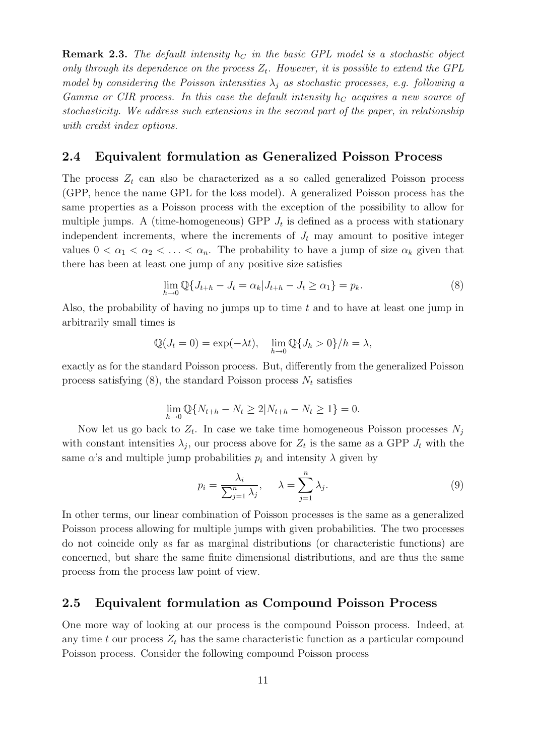**Remark 2.3.** The default intensity  $h<sub>C</sub>$  in the basic GPL model is a stochastic object only through its dependence on the process  $Z_t$ . However, it is possible to extend the GPL model by considering the Poisson intensities  $\lambda_j$  as stochastic processes, e.g. following a Gamma or CIR process. In this case the default intensity  $h<sub>C</sub>$  acquires a new source of stochasticity. We address such extensions in the second part of the paper, in relationship with credit index options.

#### 2.4 Equivalent formulation as Generalized Poisson Process

The process  $Z_t$  can also be characterized as a so called generalized Poisson process (GPP, hence the name GPL for the loss model). A generalized Poisson process has the same properties as a Poisson process with the exception of the possibility to allow for multiple jumps. A (time-homogeneous) GPP  $J_t$  is defined as a process with stationary independent increments, where the increments of  $J_t$  may amount to positive integer values  $0 < \alpha_1 < \alpha_2 < \ldots < \alpha_n$ . The probability to have a jump of size  $\alpha_k$  given that there has been at least one jump of any positive size satisfies

$$
\lim_{h \to 0} \mathbb{Q}\{J_{t+h} - J_t = \alpha_k | J_{t+h} - J_t \ge \alpha_1\} = p_k.
$$
\n(8)

Also, the probability of having no jumps up to time  $t$  and to have at least one jump in arbitrarily small times is

$$
\mathbb{Q}(J_t=0) = \exp(-\lambda t), \quad \lim_{h \to 0} \mathbb{Q}\{J_h > 0\}/h = \lambda,
$$

exactly as for the standard Poisson process. But, differently from the generalized Poisson process satisfying  $(8)$ , the standard Poisson process  $N_t$  satisfies

$$
\lim_{h \to 0} \mathbb{Q}\{N_{t+h} - N_t \ge 2 | N_{t+h} - N_t \ge 1 \} = 0.
$$

Now let us go back to  $Z_t$ . In case we take time homogeneous Poisson processes  $N_j$ with constant intensities  $\lambda_j$ , our process above for  $Z_t$  is the same as a GPP  $J_t$  with the same  $\alpha$ 's and multiple jump probabilities  $p_i$  and intensity  $\lambda$  given by

$$
p_i = \frac{\lambda_i}{\sum_{j=1}^n \lambda_j}, \quad \lambda = \sum_{j=1}^n \lambda_j.
$$
 (9)

In other terms, our linear combination of Poisson processes is the same as a generalized Poisson process allowing for multiple jumps with given probabilities. The two processes do not coincide only as far as marginal distributions (or characteristic functions) are concerned, but share the same finite dimensional distributions, and are thus the same process from the process law point of view.

#### 2.5 Equivalent formulation as Compound Poisson Process

One more way of looking at our process is the compound Poisson process. Indeed, at any time t our process  $Z_t$  has the same characteristic function as a particular compound Poisson process. Consider the following compound Poisson process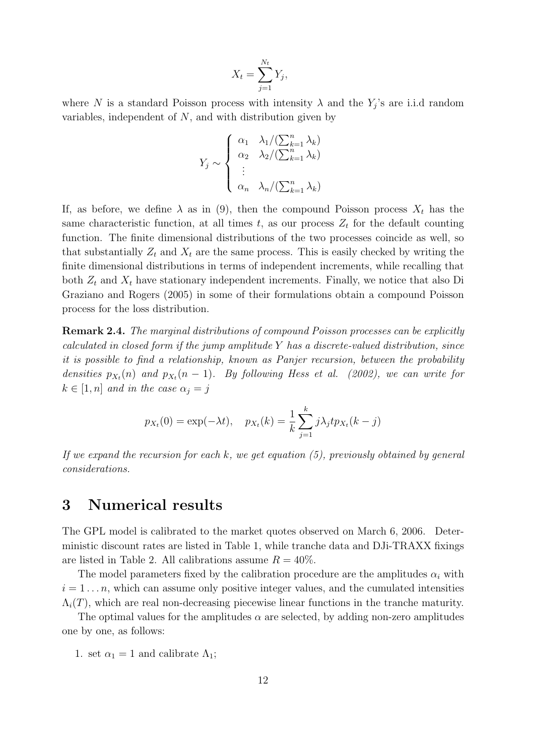$$
X_t = \sum_{j=1}^{N_t} Y_j,
$$

where N is a standard Poisson process with intensity  $\lambda$  and the  $Y_i$ 's are i.i.d random variables, independent of  $N$ , and with distribution given by

$$
Y_j \sim \begin{cases} \alpha_1 & \lambda_1 / (\sum_{k=1}^n \lambda_k) \\ \alpha_2 & \lambda_2 / (\sum_{k=1}^n \lambda_k) \\ \vdots \\ \alpha_n & \lambda_n / (\sum_{k=1}^n \lambda_k) \end{cases}
$$

If, as before, we define  $\lambda$  as in (9), then the compound Poisson process  $X_t$  has the same characteristic function, at all times t, as our process  $Z_t$  for the default counting function. The finite dimensional distributions of the two processes coincide as well, so that substantially  $Z_t$  and  $X_t$  are the same process. This is easily checked by writing the finite dimensional distributions in terms of independent increments, while recalling that both  $Z_t$  and  $X_t$  have stationary independent increments. Finally, we notice that also Di Graziano and Rogers (2005) in some of their formulations obtain a compound Poisson process for the loss distribution.

**Remark 2.4.** The marginal distributions of compound Poisson processes can be explicitly calculated in closed form if the jump amplitude Y has a discrete-valued distribution, since it is possible to find a relationship, known as Panjer recursion, between the probability densities  $p_{X_t}(n)$  and  $p_{X_t}(n-1)$ . By following Hess et al. (2002), we can write for  $k \in [1, n]$  and in the case  $\alpha_i = j$ 

$$
p_{X_t}(0) = \exp(-\lambda t), \quad p_{X_t}(k) = \frac{1}{k} \sum_{j=1}^k j \lambda_j t p_{X_t}(k-j)
$$

If we expand the recursion for each  $k$ , we get equation  $(5)$ , previously obtained by general considerations.

## 3 Numerical results

The GPL model is calibrated to the market quotes observed on March 6, 2006. Deterministic discount rates are listed in Table 1, while tranche data and DJi-TRAXX fixings are listed in Table 2. All calibrations assume  $R = 40\%$ .

The model parameters fixed by the calibration procedure are the amplitudes  $\alpha_i$  with  $i = 1 \dots n$ , which can assume only positive integer values, and the cumulated intensities  $\Lambda_i(T)$ , which are real non-decreasing piecewise linear functions in the tranche maturity.

The optimal values for the amplitudes  $\alpha$  are selected, by adding non-zero amplitudes one by one, as follows:

1. set  $\alpha_1 = 1$  and calibrate  $\Lambda_1$ ;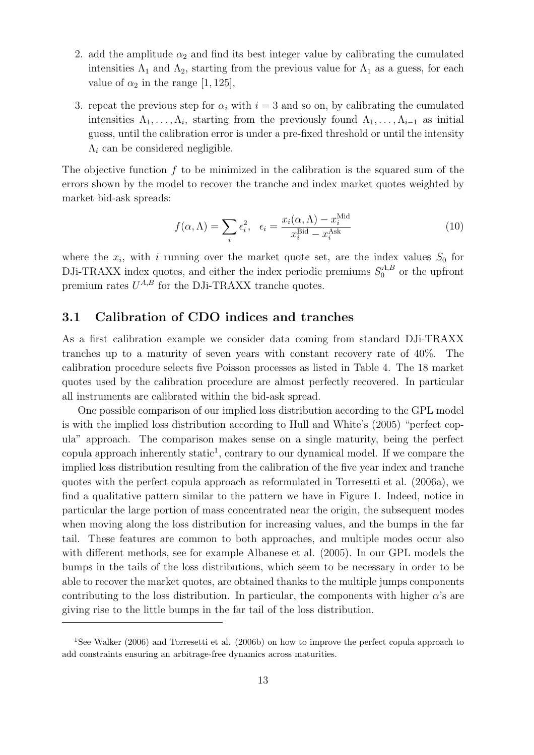- 2. add the amplitude  $\alpha_2$  and find its best integer value by calibrating the cumulated intensities  $\Lambda_1$  and  $\Lambda_2$ , starting from the previous value for  $\Lambda_1$  as a guess, for each value of  $\alpha_2$  in the range [1, 125],
- 3. repeat the previous step for  $\alpha_i$  with  $i = 3$  and so on, by calibrating the cumulated intensities  $\Lambda_1, \ldots, \Lambda_i$ , starting from the previously found  $\Lambda_1, \ldots, \Lambda_{i-1}$  as initial guess, until the calibration error is under a pre-fixed threshold or until the intensity  $\Lambda_i$  can be considered negligible.

The objective function  $f$  to be minimized in the calibration is the squared sum of the errors shown by the model to recover the tranche and index market quotes weighted by market bid-ask spreads:

$$
f(\alpha, \Lambda) = \sum_{i} \epsilon_i^2, \quad \epsilon_i = \frac{x_i(\alpha, \Lambda) - x_i^{\text{Mid}}}{x_i^{\text{Bid}} - x_i^{\text{Ask}}}
$$
(10)

where the  $x_i$ , with i running over the market quote set, are the index values  $S_0$  for DJi-TRAXX index quotes, and either the index periodic premiums  $S_0^{A,B}$  $n_0^{A,B}$  or the upfront premium rates  $U^{A,B}$  for the DJi-TRAXX tranche quotes.

#### 3.1 Calibration of CDO indices and tranches

As a first calibration example we consider data coming from standard DJi-TRAXX tranches up to a maturity of seven years with constant recovery rate of 40%. The calibration procedure selects five Poisson processes as listed in Table 4. The 18 market quotes used by the calibration procedure are almost perfectly recovered. In particular all instruments are calibrated within the bid-ask spread.

One possible comparison of our implied loss distribution according to the GPL model is with the implied loss distribution according to Hull and White's (2005) "perfect copula" approach. The comparison makes sense on a single maturity, being the perfect copula approach inherently static<sup>1</sup>, contrary to our dynamical model. If we compare the implied loss distribution resulting from the calibration of the five year index and tranche quotes with the perfect copula approach as reformulated in Torresetti et al. (2006a), we find a qualitative pattern similar to the pattern we have in Figure 1. Indeed, notice in particular the large portion of mass concentrated near the origin, the subsequent modes when moving along the loss distribution for increasing values, and the bumps in the far tail. These features are common to both approaches, and multiple modes occur also with different methods, see for example Albanese et al. (2005). In our GPL models the bumps in the tails of the loss distributions, which seem to be necessary in order to be able to recover the market quotes, are obtained thanks to the multiple jumps components contributing to the loss distribution. In particular, the components with higher  $\alpha$ 's are giving rise to the little bumps in the far tail of the loss distribution.

<sup>&</sup>lt;sup>1</sup>See Walker (2006) and Torresetti et al. (2006b) on how to improve the perfect copula approach to add constraints ensuring an arbitrage-free dynamics across maturities.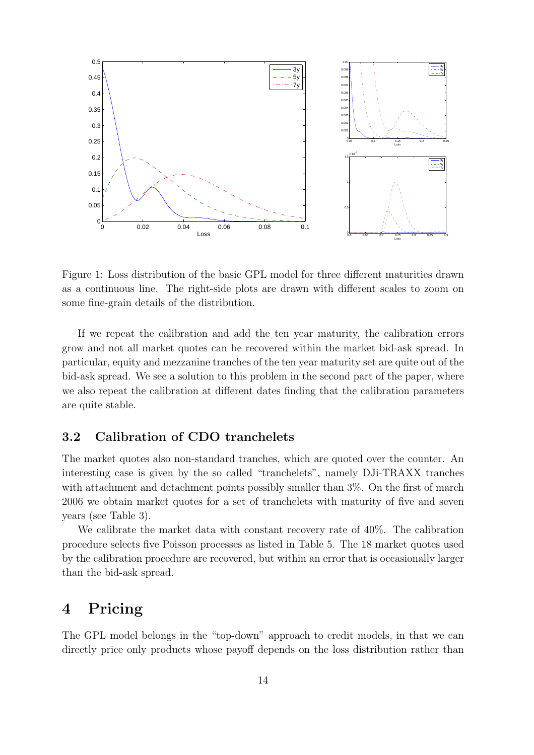

Figure 1: Loss distribution of the basic GPL model for three different maturities drawn as a continuous line. The right-side plots are drawn with different scales to zoom on some fine-grain details of the distribution.

If we repeat the calibration and add the ten year maturity, the calibration errors grow and not all market quotes can be recovered within the market bid-ask spread. In particular, equity and mezzanine tranches of the ten year maturity set are quite out of the bid-ask spread. We see a solution to this problem in the second part of the paper, where we also repeat the calibration at different dates finding that the calibration parameters are quite stable.

### 3.2 Calibration of CDO tranchelets

The market quotes also non-standard tranches, which are quoted over the counter. An interesting case is given by the so called "tranchelets", namely DJi-TRAXX tranches with attachment and detachment points possibly smaller than 3%. On the first of march 2006 we obtain market quotes for a set of tranchelets with maturity of five and seven years (see Table 3).

We calibrate the market data with constant recovery rate of 40%. The calibration procedure selects five Poisson processes as listed in Table 5. The 18 market quotes used by the calibration procedure are recovered, but within an error that is occasionally larger than the bid-ask spread.

## 4 Pricing

The GPL model belongs in the "top-down" approach to credit models, in that we can directly price only products whose payoff depends on the loss distribution rather than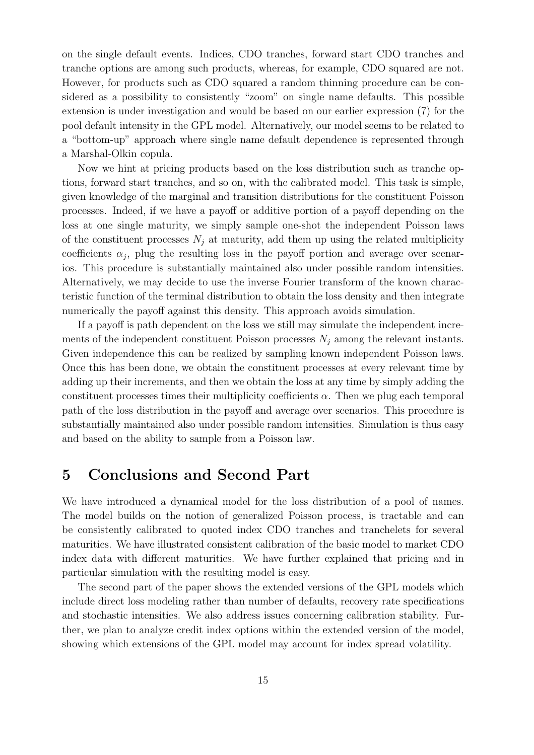on the single default events. Indices, CDO tranches, forward start CDO tranches and tranche options are among such products, whereas, for example, CDO squared are not. However, for products such as CDO squared a random thinning procedure can be considered as a possibility to consistently "zoom" on single name defaults. This possible extension is under investigation and would be based on our earlier expression (7) for the pool default intensity in the GPL model. Alternatively, our model seems to be related to a "bottom-up" approach where single name default dependence is represented through a Marshal-Olkin copula.

Now we hint at pricing products based on the loss distribution such as tranche options, forward start tranches, and so on, with the calibrated model. This task is simple, given knowledge of the marginal and transition distributions for the constituent Poisson processes. Indeed, if we have a payoff or additive portion of a payoff depending on the loss at one single maturity, we simply sample one-shot the independent Poisson laws of the constituent processes  $N_j$  at maturity, add them up using the related multiplicity coefficients  $\alpha_j$ , plug the resulting loss in the payoff portion and average over scenarios. This procedure is substantially maintained also under possible random intensities. Alternatively, we may decide to use the inverse Fourier transform of the known characteristic function of the terminal distribution to obtain the loss density and then integrate numerically the payoff against this density. This approach avoids simulation.

If a payoff is path dependent on the loss we still may simulate the independent increments of the independent constituent Poisson processes  $N_j$  among the relevant instants. Given independence this can be realized by sampling known independent Poisson laws. Once this has been done, we obtain the constituent processes at every relevant time by adding up their increments, and then we obtain the loss at any time by simply adding the constituent processes times their multiplicity coefficients  $\alpha$ . Then we plug each temporal path of the loss distribution in the payoff and average over scenarios. This procedure is substantially maintained also under possible random intensities. Simulation is thus easy and based on the ability to sample from a Poisson law.

## 5 Conclusions and Second Part

We have introduced a dynamical model for the loss distribution of a pool of names. The model builds on the notion of generalized Poisson process, is tractable and can be consistently calibrated to quoted index CDO tranches and tranchelets for several maturities. We have illustrated consistent calibration of the basic model to market CDO index data with different maturities. We have further explained that pricing and in particular simulation with the resulting model is easy.

The second part of the paper shows the extended versions of the GPL models which include direct loss modeling rather than number of defaults, recovery rate specifications and stochastic intensities. We also address issues concerning calibration stability. Further, we plan to analyze credit index options within the extended version of the model, showing which extensions of the GPL model may account for index spread volatility.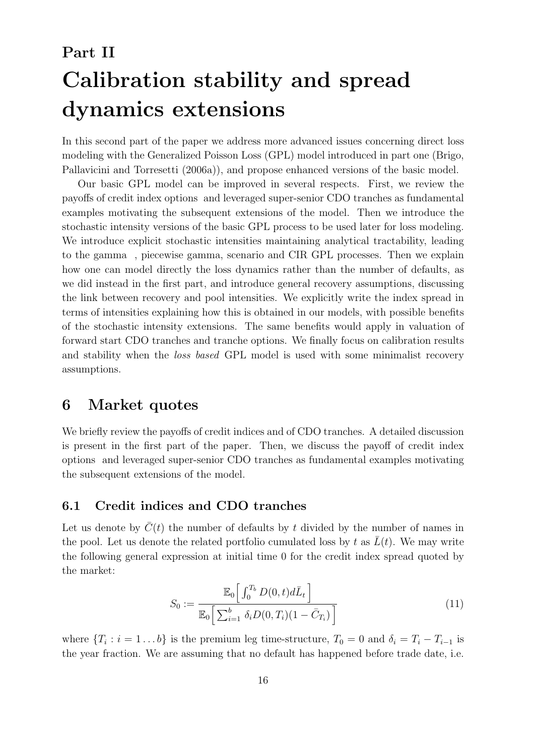# Part II Calibration stability and spread dynamics extensions

In this second part of the paper we address more advanced issues concerning direct loss modeling with the Generalized Poisson Loss (GPL) model introduced in part one (Brigo, Pallavicini and Torresetti (2006a)), and propose enhanced versions of the basic model.

Our basic GPL model can be improved in several respects. First, we review the payoffs of credit index options and leveraged super-senior CDO tranches as fundamental examples motivating the subsequent extensions of the model. Then we introduce the stochastic intensity versions of the basic GPL process to be used later for loss modeling. We introduce explicit stochastic intensities maintaining analytical tractability, leading to the gamma , piecewise gamma, scenario and CIR GPL processes. Then we explain how one can model directly the loss dynamics rather than the number of defaults, as we did instead in the first part, and introduce general recovery assumptions, discussing the link between recovery and pool intensities. We explicitly write the index spread in terms of intensities explaining how this is obtained in our models, with possible benefits of the stochastic intensity extensions. The same benefits would apply in valuation of forward start CDO tranches and tranche options. We finally focus on calibration results and stability when the *loss based* GPL model is used with some minimalist recovery assumptions.

## 6 Market quotes

We briefly review the payoffs of credit indices and of CDO tranches. A detailed discussion is present in the first part of the paper. Then, we discuss the payoff of credit index options and leveraged super-senior CDO tranches as fundamental examples motivating the subsequent extensions of the model.

#### 6.1 Credit indices and CDO tranches

Let us denote by  $\bar{C}(t)$  the number of defaults by t divided by the number of names in the pool. Let us denote the related portfolio cumulated loss by t as  $\bar{L}(t)$ . We may write the following general expression at initial time 0 for the credit index spread quoted by the market:

$$
S_0 := \frac{\mathbb{E}_0\left[\int_0^{T_b} D(0, t) d\bar{L}_t\right]}{\mathbb{E}_0\left[\sum_{i=1}^b \delta_i D(0, T_i)(1 - \bar{C}_{T_i})\right]}
$$
(11)

where  $\{T_i : i = 1...b\}$  is the premium leg time-structure,  $T_0 = 0$  and  $\delta_i = T_i - T_{i-1}$  is the year fraction. We are assuming that no default has happened before trade date, i.e.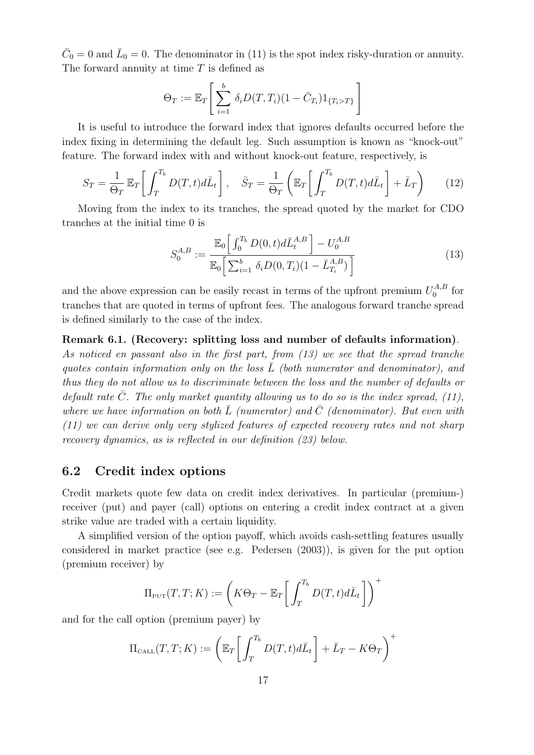$\bar{C}_0 = 0$  and  $\bar{L}_0 = 0$ . The denominator in (11) is the spot index risky-duration or annuity. The forward annuity at time  $T$  is defined as

$$
\Theta_T := \mathbb{E}_T \left[ \sum_{i=1}^b \delta_i D(T, T_i) (1 - \bar{C}_{T_i}) 1_{\{T_i > T\}} \right]
$$

It is useful to introduce the forward index that ignores defaults occurred before the index fixing in determining the default leg. Such assumption is known as "knock-out" feature. The forward index with and without knock-out feature, respectively, is

$$
S_T = \frac{1}{\Theta_T} \mathbb{E}_T \left[ \int_T^{T_b} D(T, t) d\bar{L}_t \right], \quad \bar{S}_T = \frac{1}{\Theta_T} \left( \mathbb{E}_T \left[ \int_T^{T_b} D(T, t) d\bar{L}_t \right] + \bar{L}_T \right) \tag{12}
$$

Moving from the index to its tranches, the spread quoted by the market for CDO tranches at the initial time 0 is

$$
S_0^{A,B} := \frac{\mathbb{E}_0\left[\int_0^{T_b} D(0,t) d\bar{L}_t^{A,B}\right] - U_0^{A,B}}{\mathbb{E}_0\left[\sum_{i=1}^b \delta_i D(0,T_i)(1-\bar{L}_{T_i}^{A,B})\right]}
$$
(13)

and the above expression can be easily recast in terms of the upfront premium  $U_0^{A,B}$  $\int_0^{A,B}$  for tranches that are quoted in terms of upfront fees. The analogous forward tranche spread is defined similarly to the case of the index.

#### Remark 6.1. (Recovery: splitting loss and number of defaults information).

As noticed en passant also in the first part, from (13) we see that the spread tranche quotes contain information only on the loss  $\overline{L}$  (both numerator and denominator), and thus they do not allow us to discriminate between the loss and the number of defaults or default rate  $\overline{C}$ . The only market quantity allowing us to do so is the index spread, (11), where we have information on both  $\overline{L}$  (numerator) and  $\overline{C}$  (denominator). But even with (11) we can derive only very stylized features of expected recovery rates and not sharp recovery dynamics, as is reflected in our definition (23) below.

#### 6.2 Credit index options

Credit markets quote few data on credit index derivatives. In particular (premium-) receiver (put) and payer (call) options on entering a credit index contract at a given strike value are traded with a certain liquidity.

A simplified version of the option payoff, which avoids cash-settling features usually considered in market practice (see e.g. Pedersen (2003)), is given for the put option (premium receiver) by

$$
\Pi_{\text{PUT}}(T, T; K) := \left( K \Theta_T - \mathbb{E}_T \left[ \int_T^{T_b} D(T, t) d\bar{L}_t \right] \right)^+
$$

and for the call option (premium payer) by

$$
\Pi_{\text{CALL}}(T, T; K) := \left( \mathbb{E}_T \bigg[ \int_T^{T_b} D(T, t) d\bar{L}_t \bigg] + \bar{L}_T - K \Theta_T \right)^+
$$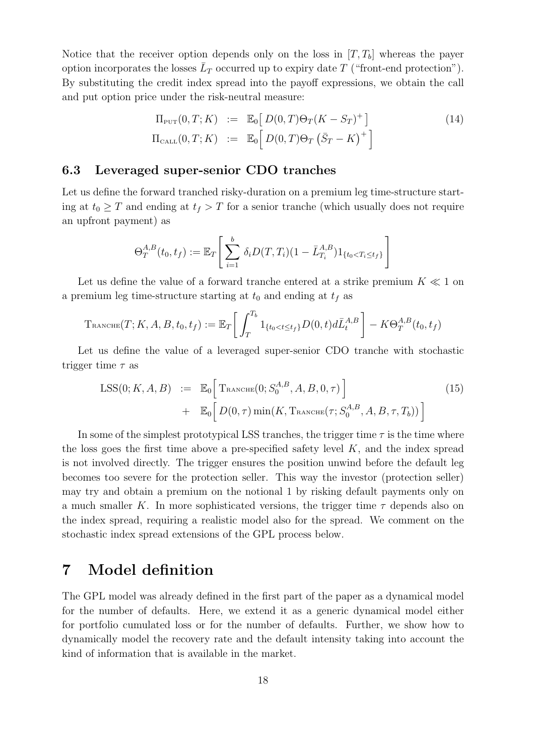Notice that the receiver option depends only on the loss in  $[T, T_b]$  whereas the payer option incorporates the losses  $\bar{L}_T$  occurred up to expiry date T ("front-end protection"). By substituting the credit index spread into the payoff expressions, we obtain the call and put option price under the risk-neutral measure:

$$
\Pi_{\text{PUT}}(0, T; K) := \mathbb{E}_0 \big[ D(0, T) \Theta_T (K - S_T)^+ \big] \n\Pi_{\text{CALL}}(0, T; K) := \mathbb{E}_0 \big[ D(0, T) \Theta_T (\bar{S}_T - K)^+ \big]
$$
\n(14)

#### 6.3 Leveraged super-senior CDO tranches

Let us define the forward tranched risky-duration on a premium leg time-structure starting at  $t_0 \geq T$  and ending at  $t_f > T$  for a senior tranche (which usually does not require an upfront payment) as

$$
\Theta_T^{A,B}(t_0, t_f) := \mathbb{E}_T \left[ \sum_{i=1}^b \delta_i D(T, T_i) (1 - \bar{L}_{T_i}^{A,B}) 1_{\{t_0 < T_i \le t_f\}} \right]
$$

Let us define the value of a forward tranche entered at a strike premium  $K \ll 1$  on a premium leg time-structure starting at  $t_0$  and ending at  $t_f$  as

$$
T_{\text{RANCEHE}}(T; K, A, B, t_0, t_f) := \mathbb{E}_T \bigg[ \int_T^{T_b} 1_{\{t_0 < t \leq t_f\}} D(0, t) d\bar{L}_t^{A, B} \bigg] - K \Theta_T^{A, B}(t_0, t_f)
$$

Let us define the value of a leveraged super-senior CDO tranche with stochastic trigger time  $\tau$  as

$$
LSS(0; K, A, B) := \mathbb{E}_{0} \Big[ \text{T}_{\text{RANCE}}(0; S_{0}^{A,B}, A, B, 0, \tau) \Big] + \mathbb{E}_{0} \Big[ D(0, \tau) \min(K, \text{T}_{\text{RANCE}}(\tau; S_{0}^{A,B}, A, B, \tau, T_{b})) \Big]
$$
(15)

In some of the simplest prototypical LSS tranches, the trigger time  $\tau$  is the time where the loss goes the first time above a pre-specified safety level  $K$ , and the index spread is not involved directly. The trigger ensures the position unwind before the default leg becomes too severe for the protection seller. This way the investor (protection seller) may try and obtain a premium on the notional 1 by risking default payments only on a much smaller K. In more sophisticated versions, the trigger time  $\tau$  depends also on the index spread, requiring a realistic model also for the spread. We comment on the stochastic index spread extensions of the GPL process below.

## 7 Model definition

The GPL model was already defined in the first part of the paper as a dynamical model for the number of defaults. Here, we extend it as a generic dynamical model either for portfolio cumulated loss or for the number of defaults. Further, we show how to dynamically model the recovery rate and the default intensity taking into account the kind of information that is available in the market.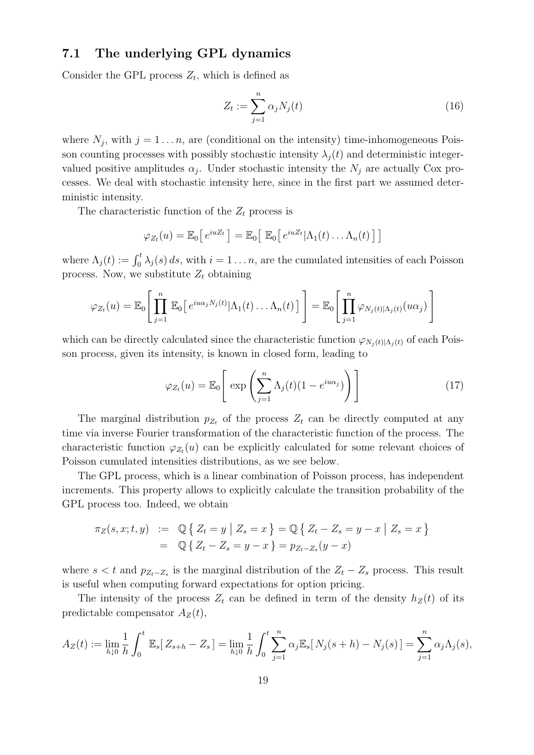#### 7.1 The underlying GPL dynamics

Consider the GPL process  $Z_t$ , which is defined as

$$
Z_t := \sum_{j=1}^n \alpha_j N_j(t) \tag{16}
$$

where  $N_j$ , with  $j = 1 \ldots n$ , are (conditional on the intensity) time-inhomogeneous Poisson counting processes with possibly stochastic intensity  $\lambda_i(t)$  and deterministic integervalued positive amplitudes  $\alpha_j$ . Under stochastic intensity the  $N_j$  are actually Cox processes. We deal with stochastic intensity here, since in the first part we assumed deterministic intensity.

The characteristic function of the  $Z_t$  process is

$$
\varphi_{Z_t}(u) = \mathbb{E}_0\big[e^{iuZ_t}\big] = \mathbb{E}_0\big[\mathbb{E}_0\big[e^{iuZ_t}|\Lambda_1(t)\ldots\Lambda_n(t)\big]\big]
$$

where  $\Lambda_j(t) := \int_0^t \lambda_j(s) ds$ , with  $i = 1...n$ , are the cumulated intensities of each Poisson process. Now, we substitute  $Z_t$  obtaining

$$
\varphi_{Z_t}(u) = \mathbb{E}_0 \left[ \prod_{j=1}^n \mathbb{E}_0 \left[ e^{i u \alpha_j N_j(t)} |\Lambda_1(t) \dots \Lambda_n(t) \right] \right] = \mathbb{E}_0 \left[ \prod_{j=1}^n \varphi_{N_j(t) | \Lambda_j(t)} (u \alpha_j) \right]
$$

which can be directly calculated since the characteristic function  $\varphi_{N_i(t)|\Lambda_i(t)}$  of each Poisson process, given its intensity, is known in closed form, leading to

$$
\varphi_{Z_t}(u) = \mathbb{E}_0 \left[ \exp \left( \sum_{j=1}^n \Lambda_j(t) (1 - e^{i u \alpha_j}) \right) \right] \tag{17}
$$

The marginal distribution  $p_{Z_t}$  of the process  $Z_t$  can be directly computed at any time via inverse Fourier transformation of the characteristic function of the process. The characteristic function  $\varphi_{Z_t}(u)$  can be explicitly calculated for some relevant choices of Poisson cumulated intensities distributions, as we see below.

The GPL process, which is a linear combination of Poisson process, has independent increments. This property allows to explicitly calculate the transition probability of the GPL process too. Indeed, we obtain

$$
\pi_Z(s, x; t, y) := \mathbb{Q} \{ Z_t = y \mid Z_s = x \} = \mathbb{Q} \{ Z_t - Z_s = y - x \mid Z_s = x \}
$$
  
=  $\mathbb{Q} \{ Z_t - Z_s = y - x \} = p_{Z_t - Z_s}(y - x)$ 

where  $s < t$  and  $p_{Z_t-Z_s}$  is the marginal distribution of the  $Z_t - Z_s$  process. This result is useful when computing forward expectations for option pricing.

The intensity of the process  $Z_t$  can be defined in term of the density  $h_Z(t)$  of its predictable compensator  $A_Z(t)$ ,

$$
A_Z(t) := \lim_{h \downarrow 0} \frac{1}{h} \int_0^t \mathbb{E}_s[Z_{s+h} - Z_s] = \lim_{h \downarrow 0} \frac{1}{h} \int_0^t \sum_{j=1}^n \alpha_j \mathbb{E}_s[N_j(s+h) - N_j(s)] = \sum_{j=1}^n \alpha_j \Lambda_j(s),
$$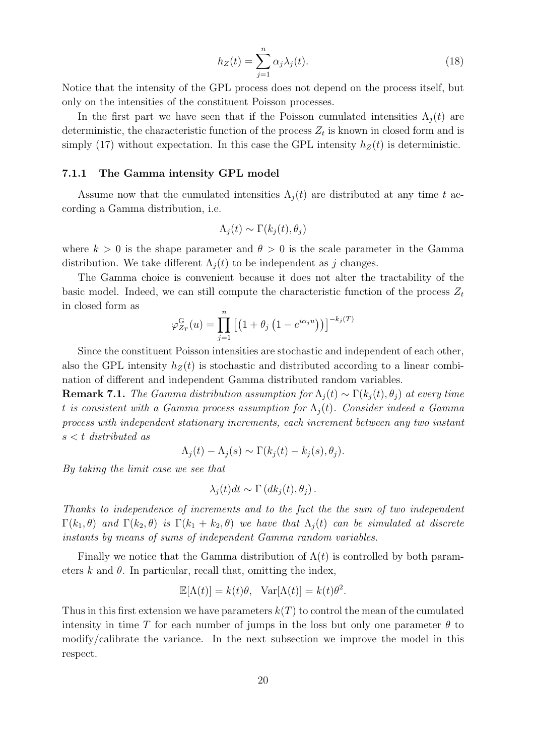$$
h_Z(t) = \sum_{j=1}^n \alpha_j \lambda_j(t). \tag{18}
$$

Notice that the intensity of the GPL process does not depend on the process itself, but only on the intensities of the constituent Poisson processes.

In the first part we have seen that if the Poisson cumulated intensities  $\Lambda_i(t)$  are deterministic, the characteristic function of the process  $Z_t$  is known in closed form and is simply (17) without expectation. In this case the GPL intensity  $h_Z(t)$  is deterministic.

#### 7.1.1 The Gamma intensity GPL model

Assume now that the cumulated intensities  $\Lambda_i(t)$  are distributed at any time t according a Gamma distribution, i.e.

$$
\Lambda_j(t) \sim \Gamma(k_j(t), \theta_j)
$$

where  $k > 0$  is the shape parameter and  $\theta > 0$  is the scale parameter in the Gamma distribution. We take different  $\Lambda_i(t)$  to be independent as j changes.

The Gamma choice is convenient because it does not alter the tractability of the basic model. Indeed, we can still compute the characteristic function of the process  $Z_t$ in closed form as

$$
\varphi_{Z_T}^{\mathrm{G}}(u) = \prod_{j=1}^n \left[ \left( 1 + \theta_j \left( 1 - e^{i\alpha_j u} \right) \right) \right]^{-k_j(T)}
$$

Since the constituent Poisson intensities are stochastic and independent of each other, also the GPL intensity  $h_Z(t)$  is stochastic and distributed according to a linear combination of different and independent Gamma distributed random variables.

**Remark 7.1.** The Gamma distribution assumption for  $\Lambda_j(t) \sim \Gamma(k_j(t), \theta_j)$  at every time t is consistent with a Gamma process assumption for  $\Lambda_i(t)$ . Consider indeed a Gamma process with independent stationary increments, each increment between any two instant s < t distributed as

$$
\Lambda_j(t) - \Lambda_j(s) \sim \Gamma(k_j(t) - k_j(s), \theta_j).
$$

By taking the limit case we see that

$$
\lambda_j(t)dt \sim \Gamma(d k_j(t), \theta_j).
$$

Thanks to independence of increments and to the fact the the sum of two independent  $\Gamma(k_1,\theta)$  and  $\Gamma(k_2,\theta)$  is  $\Gamma(k_1+k_2,\theta)$  we have that  $\Lambda_i(t)$  can be simulated at discrete instants by means of sums of independent Gamma random variables.

Finally we notice that the Gamma distribution of  $\Lambda(t)$  is controlled by both parameters k and  $\theta$ . In particular, recall that, omitting the index,

$$
\mathbb{E}[\Lambda(t)] = k(t)\theta, \quad \text{Var}[\Lambda(t)] = k(t)\theta^2.
$$

Thus in this first extension we have parameters  $k(T)$  to control the mean of the cumulated intensity in time T for each number of jumps in the loss but only one parameter  $\theta$  to modify/calibrate the variance. In the next subsection we improve the model in this respect.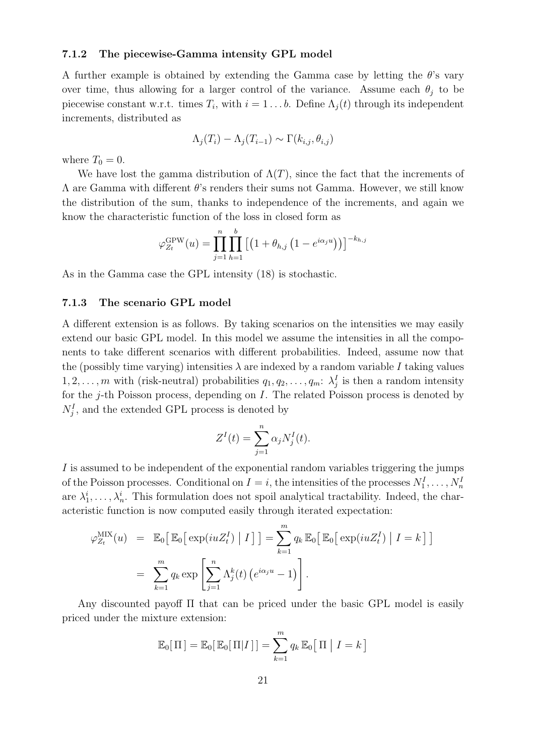#### 7.1.2 The piecewise-Gamma intensity GPL model

A further example is obtained by extending the Gamma case by letting the  $\theta$ 's vary over time, thus allowing for a larger control of the variance. Assume each  $\theta_j$  to be piecewise constant w.r.t. times  $T_i$ , with  $i = 1 \ldots b$ . Define  $\Lambda_j(t)$  through its independent increments, distributed as

$$
\Lambda_j(T_i) - \Lambda_j(T_{i-1}) \sim \Gamma(k_{i,j}, \theta_{i,j})
$$

where  $T_0 = 0$ .

We have lost the gamma distribution of  $\Lambda(T)$ , since the fact that the increments of  $\Lambda$  are Gamma with different  $\theta$ 's renders their sums not Gamma. However, we still know the distribution of the sum, thanks to independence of the increments, and again we know the characteristic function of the loss in closed form as

$$
\varphi_{Z_t}^{\text{GPW}}(u) = \prod_{j=1}^n \prod_{h=1}^b \left[ \left( 1 + \theta_{h,j} \left( 1 - e^{i\alpha_j u} \right) \right) \right]^{-k_{h,j}}
$$

As in the Gamma case the GPL intensity (18) is stochastic.

#### 7.1.3 The scenario GPL model

A different extension is as follows. By taking scenarios on the intensities we may easily extend our basic GPL model. In this model we assume the intensities in all the components to take different scenarios with different probabilities. Indeed, assume now that the (possibly time varying) intensities  $\lambda$  are indexed by a random variable I taking values  $1, 2, \ldots, m$  with (risk-neutral) probabilities  $q_1, q_2, \ldots, q_m: \lambda_j^I$  is then a random intensity for the  $j$ -th Poisson process, depending on  $I$ . The related Poisson process is denoted by  $N_i^I$ , and the extended GPL process is denoted by

$$
Z^{I}(t) = \sum_{j=1}^{n} \alpha_j N_j^{I}(t).
$$

I is assumed to be independent of the exponential random variables triggering the jumps of the Poisson processes. Conditional on  $I = i$ , the intensities of the processes  $N_1^I, \ldots, N_n^I$ are  $\lambda_1^i, \ldots, \lambda_n^i$ . This formulation does not spoil analytical tractability. Indeed, the characteristic function is now computed easily through iterated expectation:

$$
\varphi_{Z_t}^{\text{MIX}}(u) = \mathbb{E}_0\big[\mathbb{E}_0\big[\exp(iuZ_t^I) | I\big]\big] = \sum_{k=1}^m q_k \mathbb{E}_0\big[\mathbb{E}_0\big[\exp(iuZ_t^I) | I = k\big]\big]
$$

$$
= \sum_{k=1}^m q_k \exp\left[\sum_{j=1}^n \Lambda_j^k(t) \left(e^{i\alpha_j u} - 1\right)\right].
$$

Any discounted payoff Π that can be priced under the basic GPL model is easily priced under the mixture extension:

$$
\mathbb{E}_0[\Pi] = \mathbb{E}_0[\mathbb{E}_0[\Pi|I]] = \sum_{k=1}^m q_k \mathbb{E}_0[\Pi | I = k]
$$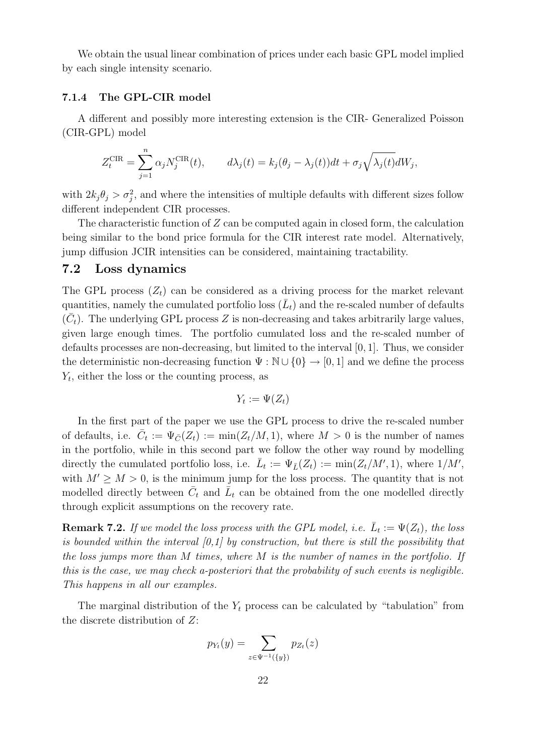We obtain the usual linear combination of prices under each basic GPL model implied by each single intensity scenario.

#### 7.1.4 The GPL-CIR model

A different and possibly more interesting extension is the CIR- Generalized Poisson (CIR-GPL) model

$$
Z_t^{\text{CIR}} = \sum_{j=1}^n \alpha_j N_j^{\text{CIR}}(t), \qquad d\lambda_j(t) = k_j(\theta_j - \lambda_j(t))dt + \sigma_j \sqrt{\lambda_j(t)}dW_j,
$$

with  $2k_j\theta_j > \sigma_j^2$ , and where the intensities of multiple defaults with different sizes follow different independent CIR processes.

The characteristic function of  $Z$  can be computed again in closed form, the calculation being similar to the bond price formula for the CIR interest rate model. Alternatively, jump diffusion JCIR intensities can be considered, maintaining tractability.

#### 7.2 Loss dynamics

The GPL process  $(Z_t)$  can be considered as a driving process for the market relevant quantities, namely the cumulated portfolio loss  $(\bar{L}_t)$  and the re-scaled number of defaults  $(\bar{C}_t)$ . The underlying GPL process Z is non-decreasing and takes arbitrarily large values, given large enough times. The portfolio cumulated loss and the re-scaled number of defaults processes are non-decreasing, but limited to the interval [0, 1]. Thus, we consider the deterministic non-decreasing function  $\Psi : \mathbb{N} \cup \{0\} \to [0, 1]$  and we define the process  $Y_t$ , either the loss or the counting process, as

$$
Y_t := \Psi(Z_t)
$$

In the first part of the paper we use the GPL process to drive the re-scaled number of defaults, i.e.  $\bar{C}_t := \Psi_{\bar{C}}(Z_t) := \min(Z_t/M, 1)$ , where  $M > 0$  is the number of names in the portfolio, while in this second part we follow the other way round by modelling directly the cumulated portfolio loss, i.e.  $\bar{L}_t := \Psi_{\bar{L}}(Z_t) := \min(Z_t/M', 1)$ , where  $1/M',$ with  $M' \geq M > 0$ , is the minimum jump for the loss process. The quantity that is not modelled directly between  $\bar{C}_t$  and  $\bar{L}_t$  can be obtained from the one modelled directly through explicit assumptions on the recovery rate.

**Remark 7.2.** If we model the loss process with the GPL model, i.e.  $\bar{L}_t := \Psi(Z_t)$ , the loss is bounded within the interval  $[0,1]$  by construction, but there is still the possibility that the loss jumps more than M times, where M is the number of names in the portfolio. If this is the case, we may check a-posteriori that the probability of such events is negligible. This happens in all our examples.

The marginal distribution of the  $Y_t$  process can be calculated by "tabulation" from the discrete distribution of Z:

$$
p_{Y_t}(y) = \sum_{z \in \Psi^{-1}(\{y\})} p_{Z_t}(z)
$$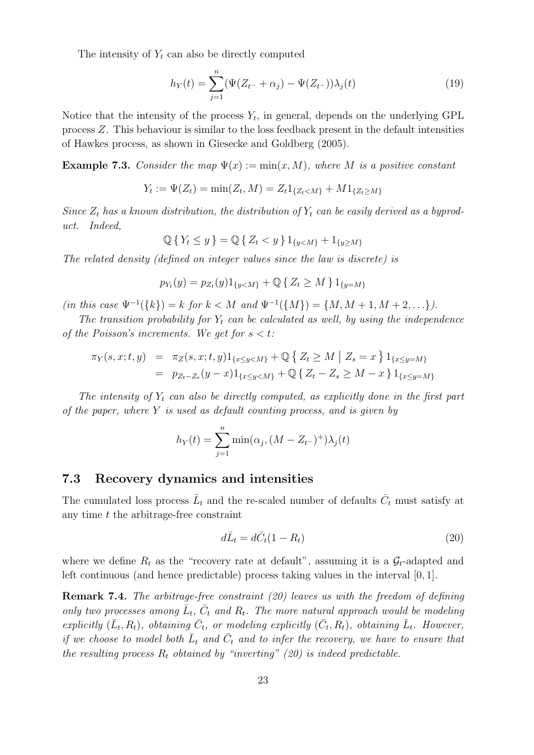The intensity of  $Y_t$  can also be directly computed

$$
h_Y(t) = \sum_{j=1}^{n} (\Psi(Z_{t-} + \alpha_j) - \Psi(Z_{t-})) \lambda_j(t)
$$
\n(19)

Notice that the intensity of the process  $Y_t$ , in general, depends on the underlying GPL process Z. This behaviour is similar to the loss feedback present in the default intensities of Hawkes process, as shown in Giesecke and Goldberg (2005).

**Example 7.3.** Consider the map  $\Psi(x) := min(x, M)$ , where M is a positive constant

$$
Y_t := \Psi(Z_t) = \min(Z_t, M) = Z_t 1_{\{Z_t < M\}} + M 1_{\{Z_t \ge M\}}
$$

Since  $Z_t$  has a known distribution, the distribution of  $Y_t$  can be easily derived as a byproduct. Indeed,

$$
\mathbb{Q}\left\{Y_t \le y\right\} = \mathbb{Q}\left\{Z_t < y\right\} 1_{\{y < M\}} + 1_{\{y \ge M\}}
$$

The related density (defined on integer values since the law is discrete) is

$$
p_{Y_t}(y) = p_{Z_t}(y)1_{\{y < M\}} + \mathbb{Q}\left\{Z_t \geq M\right\}1_{\{y = M\}}
$$

(in this case  $\Psi^{-1}(\{k\}) = k$  for  $k < M$  and  $\Psi^{-1}(\{M\}) = \{M, M + 1, M + 2, ...\}$ ).

The transition probability for  $Y_t$  can be calculated as well, by using the independence of the Poisson's increments. We get for  $s < t$ :

$$
\pi_Y(s, x; t, y) = \pi_Z(s, x; t, y) 1_{\{x \le y < M\}} + \mathbb{Q}\left\{Z_t \ge M \mid Z_s = x\right\} 1_{\{x \le y = M\}}
$$
\n
$$
= p_{Z_t - Z_s}(y - x) 1_{\{x \le y < M\}} + \mathbb{Q}\left\{Z_t - Z_s \ge M - x\right\} 1_{\{x \le y = M\}}
$$

The intensity of  $Y_t$  can also be directly computed, as explicitly done in the first part of the paper, where  $Y$  is used as default counting process, and is given by

$$
h_Y(t) = \sum_{j=1}^{n} \min(\alpha_j, (M - Z_{t-})^+) \lambda_j(t)
$$

#### 7.3 Recovery dynamics and intensities

The cumulated loss process  $\bar{L}_t$  and the re-scaled number of defaults  $\bar{C}_t$  must satisfy at any time t the arbitrage-free constraint

$$
d\bar{L}_t = d\bar{C}_t(1 - R_t) \tag{20}
$$

where we define  $R_t$  as the "recovery rate at default", assuming it is a  $\mathcal{G}_t$ -adapted and left continuous (and hence predictable) process taking values in the interval [0, 1].

Remark 7.4. The arbitrage-free constraint (20) leaves us with the freedom of defining only two processes among  $\overline{L}_t$ ,  $\overline{C}_t$  and  $R_t$ . The more natural approach would be modeling explicitly  $(\bar{L}_t, R_t)$ , obtaining  $\bar{C}_t$ , or modeling explicitly  $(\bar{C}_t, R_t)$ , obtaining  $\bar{L}_t$ . However, if we choose to model both  $\overline{L}_t$  and  $\overline{C}_t$  and to infer the recovery, we have to ensure that the resulting process  $R_t$  obtained by "inverting" (20) is indeed predictable.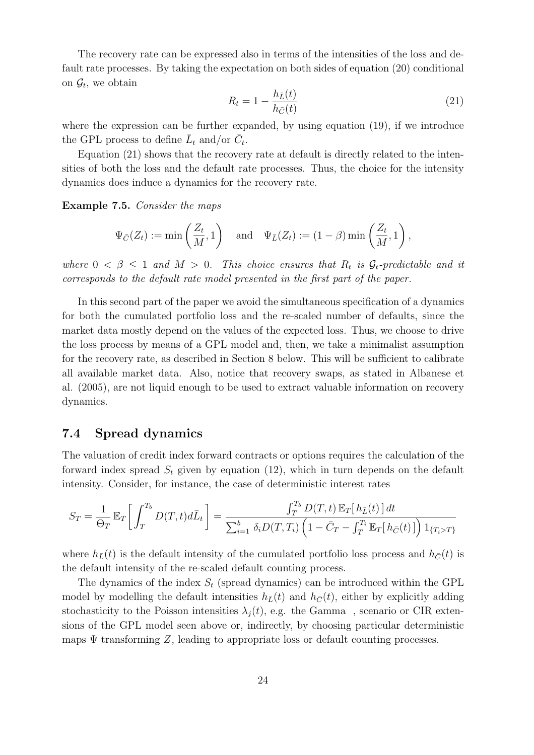The recovery rate can be expressed also in terms of the intensities of the loss and default rate processes. By taking the expectation on both sides of equation (20) conditional on  $\mathcal{G}_t$ , we obtain

$$
R_t = 1 - \frac{h_{\bar{L}}(t)}{h_{\bar{C}}(t)}\tag{21}
$$

where the expression can be further expanded, by using equation (19), if we introduce the GPL process to define  $\bar{L}_t$  and/or  $\bar{C}_t$ .

Equation (21) shows that the recovery rate at default is directly related to the intensities of both the loss and the default rate processes. Thus, the choice for the intensity dynamics does induce a dynamics for the recovery rate.

Example 7.5. Consider the maps

$$
\Psi_{\bar{C}}(Z_t) := \min\left(\frac{Z_t}{M}, 1\right) \quad \text{and} \quad \Psi_{\bar{L}}(Z_t) := (1 - \beta) \min\left(\frac{Z_t}{M}, 1\right),
$$

where  $0 < \beta \leq 1$  and  $M > 0$ . This choice ensures that  $R_t$  is  $\mathcal{G}_t$ -predictable and it corresponds to the default rate model presented in the first part of the paper.

In this second part of the paper we avoid the simultaneous specification of a dynamics for both the cumulated portfolio loss and the re-scaled number of defaults, since the market data mostly depend on the values of the expected loss. Thus, we choose to drive the loss process by means of a GPL model and, then, we take a minimalist assumption for the recovery rate, as described in Section 8 below. This will be sufficient to calibrate all available market data. Also, notice that recovery swaps, as stated in Albanese et al. (2005), are not liquid enough to be used to extract valuable information on recovery dynamics.

#### 7.4 Spread dynamics

The valuation of credit index forward contracts or options requires the calculation of the forward index spread  $S_t$  given by equation (12), which in turn depends on the default intensity. Consider, for instance, the case of deterministic interest rates

$$
S_T = \frac{1}{\Theta_T} \mathbb{E}_T \bigg[ \int_T^{T_b} D(T,t) d\bar{L}_t \bigg] = \frac{\int_T^{T_b} D(T,t) \mathbb{E}_T [h_{\bar{L}}(t)] dt}{\sum_{i=1}^b \delta_i D(T,T_i) \left(1 - \bar{C}_T - \int_T^{T_i} \mathbb{E}_T [h_{\bar{C}}(t)]\right) 1_{\{T_i > T\}}}
$$

where  $h_{\bar{L}}(t)$  is the default intensity of the cumulated portfolio loss process and  $h_{\bar{C}}(t)$  is the default intensity of the re-scaled default counting process.

The dynamics of the index  $S_t$  (spread dynamics) can be introduced within the GPL model by modelling the default intensities  $h_{\bar{L}}(t)$  and  $h_{\bar{C}}(t)$ , either by explicitly adding stochasticity to the Poisson intensities  $\lambda_i(t)$ , e.g. the Gamma, scenario or CIR extensions of the GPL model seen above or, indirectly, by choosing particular deterministic maps  $\Psi$  transforming Z, leading to appropriate loss or default counting processes.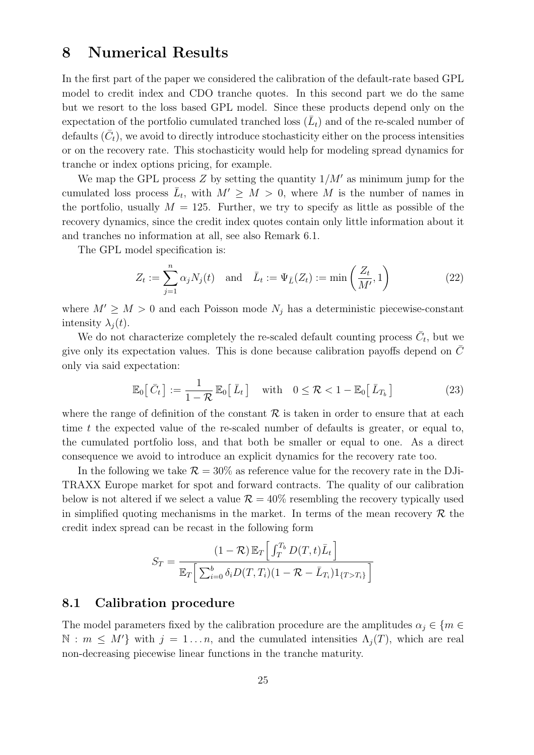## 8 Numerical Results

In the first part of the paper we considered the calibration of the default-rate based GPL model to credit index and CDO tranche quotes. In this second part we do the same but we resort to the loss based GPL model. Since these products depend only on the expectation of the portfolio cumulated tranched loss  $(\bar{L}_t)$  and of the re-scaled number of defaults  $(\bar{C}_t)$ , we avoid to directly introduce stochasticity either on the process intensities or on the recovery rate. This stochasticity would help for modeling spread dynamics for tranche or index options pricing, for example.

We map the GPL process Z by setting the quantity  $1/M'$  as minimum jump for the cumulated loss process  $\bar{L}_t$ , with  $M' \geq M > 0$ , where M is the number of names in the portfolio, usually  $M = 125$ . Further, we try to specify as little as possible of the recovery dynamics, since the credit index quotes contain only little information about it and tranches no information at all, see also Remark 6.1.

The GPL model specification is:

$$
Z_t := \sum_{j=1}^n \alpha_j N_j(t) \quad \text{and} \quad \bar{L}_t := \Psi_{\bar{L}}(Z_t) := \min\left(\frac{Z_t}{M'}, 1\right) \tag{22}
$$

where  $M' \geq M > 0$  and each Poisson mode  $N_j$  has a deterministic piecewise-constant intensity  $\lambda_i(t)$ .

We do not characterize completely the re-scaled default counting process  $\bar{C}_t$ , but we give only its expectation values. This is done because calibration payoffs depend on  $\overline{C}$ only via said expectation:

$$
\mathbb{E}_0\big[\,\bar{C}_t\big] := \frac{1}{1-\mathcal{R}}\,\mathbb{E}_0\big[\,\bar{L}_t\big] \quad \text{with} \quad 0 \leq \mathcal{R} < 1 - \mathbb{E}_0\big[\,\bar{L}_{T_b}\,\big] \tag{23}
$$

where the range of definition of the constant  $\mathcal R$  is taken in order to ensure that at each time t the expected value of the re-scaled number of defaults is greater, or equal to, the cumulated portfolio loss, and that both be smaller or equal to one. As a direct consequence we avoid to introduce an explicit dynamics for the recovery rate too.

In the following we take  $\mathcal{R} = 30\%$  as reference value for the recovery rate in the DJi-TRAXX Europe market for spot and forward contracts. The quality of our calibration below is not altered if we select a value  $\mathcal{R} = 40\%$  resembling the recovery typically used in simplified quoting mechanisms in the market. In terms of the mean recovery  $\mathcal R$  the credit index spread can be recast in the following form

$$
S_T = \frac{(1 - \mathcal{R}) \mathbb{E}_T \left[ \int_T^{T_b} D(T, t) \bar{L}_t \right]}{\mathbb{E}_T \left[ \sum_{i=0}^b \delta_i D(T, T_i) (1 - \mathcal{R} - \bar{L}_{T_i}) \mathbb{1}_{\{T > T_i\}} \right]}
$$

#### 8.1 Calibration procedure

The model parameters fixed by the calibration procedure are the amplitudes  $\alpha_i \in \{m \in \mathbb{N}\}$  $\mathbb{N}: m \leq M'$  with  $j = 1...n$ , and the cumulated intensities  $\Lambda_i(T)$ , which are real non-decreasing piecewise linear functions in the tranche maturity.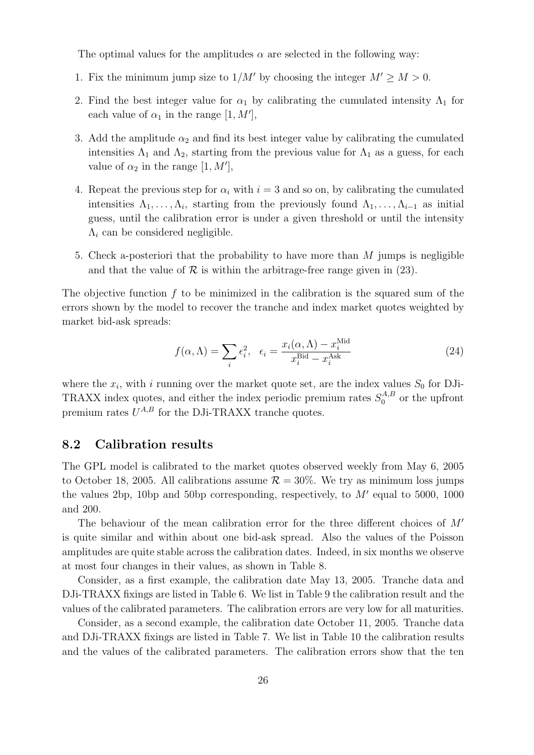The optimal values for the amplitudes  $\alpha$  are selected in the following way:

- 1. Fix the minimum jump size to  $1/M'$  by choosing the integer  $M' \ge M > 0$ .
- 2. Find the best integer value for  $\alpha_1$  by calibrating the cumulated intensity  $\Lambda_1$  for each value of  $\alpha_1$  in the range  $[1, M'],$
- 3. Add the amplitude  $\alpha_2$  and find its best integer value by calibrating the cumulated intensities  $\Lambda_1$  and  $\Lambda_2$ , starting from the previous value for  $\Lambda_1$  as a guess, for each value of  $\alpha_2$  in the range  $[1, M'],$
- 4. Repeat the previous step for  $\alpha_i$  with  $i = 3$  and so on, by calibrating the cumulated intensities  $\Lambda_1, \ldots, \Lambda_i$ , starting from the previously found  $\Lambda_1, \ldots, \Lambda_{i-1}$  as initial guess, until the calibration error is under a given threshold or until the intensity  $\Lambda_i$  can be considered negligible.
- 5. Check a-posteriori that the probability to have more than  $M$  jumps is negligible and that the value of  $\mathcal R$  is within the arbitrage-free range given in (23).

The objective function  $f$  to be minimized in the calibration is the squared sum of the errors shown by the model to recover the tranche and index market quotes weighted by market bid-ask spreads:

$$
f(\alpha, \Lambda) = \sum_{i} \epsilon_i^2, \quad \epsilon_i = \frac{x_i(\alpha, \Lambda) - x_i^{\text{Mid}}}{x_i^{\text{Bid}} - x_i^{\text{Ask}}}
$$
(24)

where the  $x_i$ , with i running over the market quote set, are the index values  $S_0$  for DJi-TRAXX index quotes, and either the index periodic premium rates  $S_0^{A,B}$  $n_0^{A,B}$  or the upfront premium rates  $U^{A,B}$  for the DJi-TRAXX tranche quotes.

#### 8.2 Calibration results

The GPL model is calibrated to the market quotes observed weekly from May 6, 2005 to October 18, 2005. All calibrations assume  $\mathcal{R} = 30\%$ . We try as minimum loss jumps the values 2bp, 10bp and 50bp corresponding, respectively, to  $M'$  equal to 5000, 1000 and 200.

The behaviour of the mean calibration error for the three different choices of  $M'$ is quite similar and within about one bid-ask spread. Also the values of the Poisson amplitudes are quite stable across the calibration dates. Indeed, in six months we observe at most four changes in their values, as shown in Table 8.

Consider, as a first example, the calibration date May 13, 2005. Tranche data and DJi-TRAXX fixings are listed in Table 6. We list in Table 9 the calibration result and the values of the calibrated parameters. The calibration errors are very low for all maturities.

Consider, as a second example, the calibration date October 11, 2005. Tranche data and DJi-TRAXX fixings are listed in Table 7. We list in Table 10 the calibration results and the values of the calibrated parameters. The calibration errors show that the ten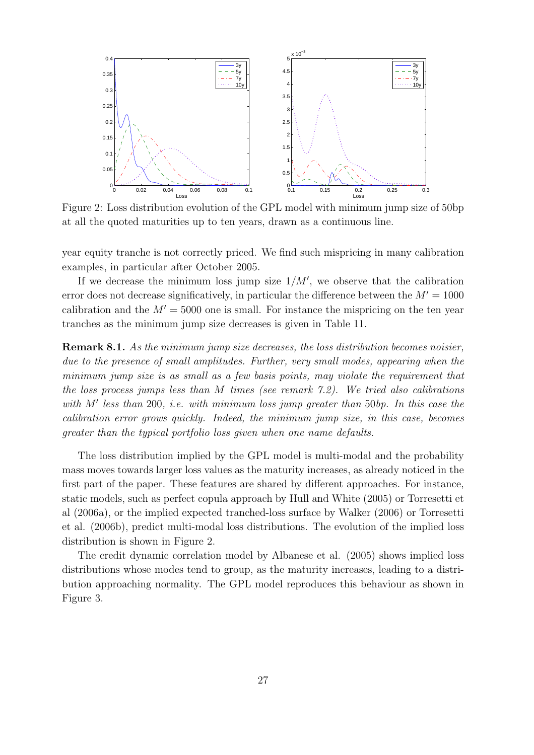

Figure 2: Loss distribution evolution of the GPL model with minimum jump size of 50bp at all the quoted maturities up to ten years, drawn as a continuous line.

year equity tranche is not correctly priced. We find such mispricing in many calibration examples, in particular after October 2005.

If we decrease the minimum loss jump size  $1/M'$ , we observe that the calibration error does not decrease significatively, in particular the difference between the  $M' = 1000$ calibration and the  $M' = 5000$  one is small. For instance the mispricing on the ten year tranches as the minimum jump size decreases is given in Table 11.

Remark 8.1. As the minimum jump size decreases, the loss distribution becomes noisier, due to the presence of small amplitudes. Further, very small modes, appearing when the minimum jump size is as small as a few basis points, may violate the requirement that the loss process jumps less than M times (see remark 7.2). We tried also calibrations with  $M'$  less than 200, i.e. with minimum loss jump greater than 50bp. In this case the calibration error grows quickly. Indeed, the minimum jump size, in this case, becomes greater than the typical portfolio loss given when one name defaults.

The loss distribution implied by the GPL model is multi-modal and the probability mass moves towards larger loss values as the maturity increases, as already noticed in the first part of the paper. These features are shared by different approaches. For instance, static models, such as perfect copula approach by Hull and White (2005) or Torresetti et al (2006a), or the implied expected tranched-loss surface by Walker (2006) or Torresetti et al. (2006b), predict multi-modal loss distributions. The evolution of the implied loss distribution is shown in Figure 2.

The credit dynamic correlation model by Albanese et al. (2005) shows implied loss distributions whose modes tend to group, as the maturity increases, leading to a distribution approaching normality. The GPL model reproduces this behaviour as shown in Figure 3.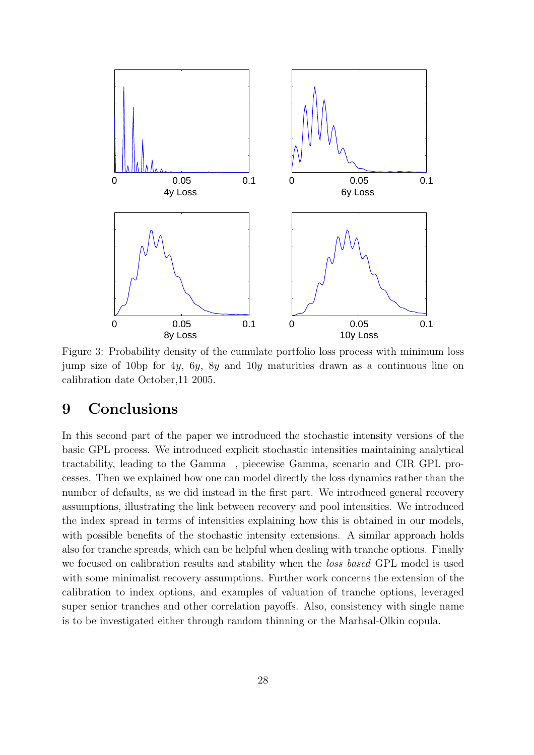

Figure 3: Probability density of the cumulate portfolio loss process with minimum loss jump size of 10bp for 4y, 6y, 8y and 10y maturities drawn as a continuous line on calibration date October,11 2005.

## 9 Conclusions

In this second part of the paper we introduced the stochastic intensity versions of the basic GPL process. We introduced explicit stochastic intensities maintaining analytical tractability, leading to the Gamma , piecewise Gamma, scenario and CIR GPL processes. Then we explained how one can model directly the loss dynamics rather than the number of defaults, as we did instead in the first part. We introduced general recovery assumptions, illustrating the link between recovery and pool intensities. We introduced the index spread in terms of intensities explaining how this is obtained in our models, with possible benefits of the stochastic intensity extensions. A similar approach holds also for tranche spreads, which can be helpful when dealing with tranche options. Finally we focused on calibration results and stability when the loss based GPL model is used with some minimalist recovery assumptions. Further work concerns the extension of the calibration to index options, and examples of valuation of tranche options, leveraged super senior tranches and other correlation payoffs. Also, consistency with single name is to be investigated either through random thinning or the Marhsal-Olkin copula.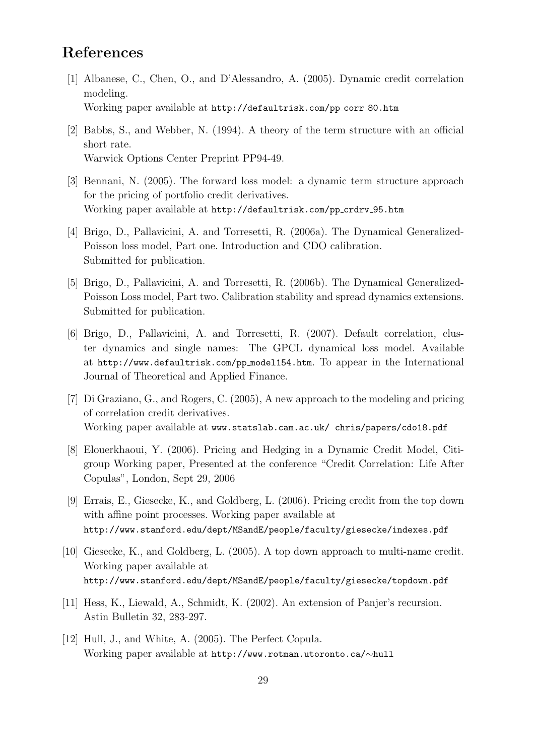## References

- [1] Albanese, C., Chen, O., and D'Alessandro, A. (2005). Dynamic credit correlation modeling. Working paper available at http://defaultrisk.com/pp\_corr\_80.htm
- [2] Babbs, S., and Webber, N. (1994). A theory of the term structure with an official short rate. Warwick Options Center Preprint PP94-49.
- [3] Bennani, N. (2005). The forward loss model: a dynamic term structure approach for the pricing of portfolio credit derivatives. Working paper available at http://defaultrisk.com/pp crdrv 95.htm
- [4] Brigo, D., Pallavicini, A. and Torresetti, R. (2006a). The Dynamical Generalized-Poisson loss model, Part one. Introduction and CDO calibration. Submitted for publication.
- [5] Brigo, D., Pallavicini, A. and Torresetti, R. (2006b). The Dynamical Generalized-Poisson Loss model, Part two. Calibration stability and spread dynamics extensions. Submitted for publication.
- [6] Brigo, D., Pallavicini, A. and Torresetti, R. (2007). Default correlation, cluster dynamics and single names: The GPCL dynamical loss model. Available at http://www.defaultrisk.com/pp model154.htm. To appear in the International Journal of Theoretical and Applied Finance.
- [7] Di Graziano, G., and Rogers, C. (2005), A new approach to the modeling and pricing of correlation credit derivatives. Working paper available at www.statslab.cam.ac.uk/ chris/papers/cdo18.pdf
- [8] Elouerkhaoui, Y. (2006). Pricing and Hedging in a Dynamic Credit Model, Citigroup Working paper, Presented at the conference "Credit Correlation: Life After Copulas", London, Sept 29, 2006
- [9] Errais, E., Giesecke, K., and Goldberg, L. (2006). Pricing credit from the top down with affine point processes. Working paper available at http://www.stanford.edu/dept/MSandE/people/faculty/giesecke/indexes.pdf
- [10] Giesecke, K., and Goldberg, L. (2005). A top down approach to multi-name credit. Working paper available at http://www.stanford.edu/dept/MSandE/people/faculty/giesecke/topdown.pdf
- [11] Hess, K., Liewald, A., Schmidt, K. (2002). An extension of Panjer's recursion. Astin Bulletin 32, 283-297.
- [12] Hull, J., and White, A. (2005). The Perfect Copula. Working paper available at http://www.rotman.utoronto.ca/∼hull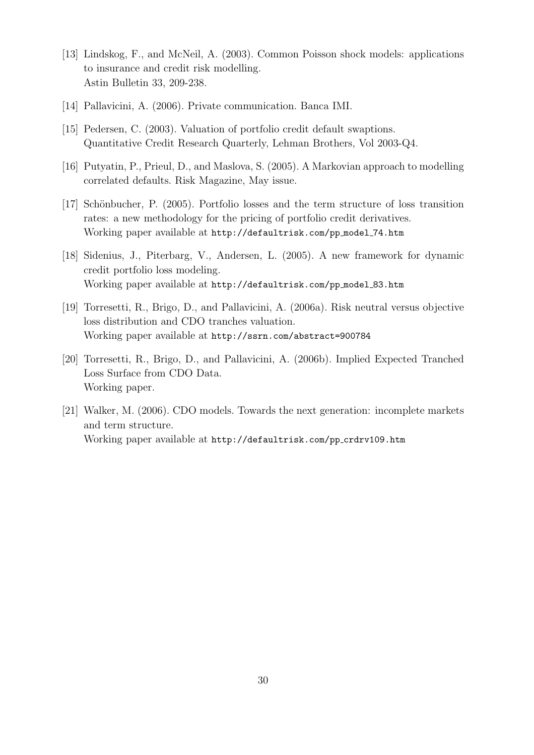- [13] Lindskog, F., and McNeil, A. (2003). Common Poisson shock models: applications to insurance and credit risk modelling. Astin Bulletin 33, 209-238.
- [14] Pallavicini, A. (2006). Private communication. Banca IMI.
- [15] Pedersen, C. (2003). Valuation of portfolio credit default swaptions. Quantitative Credit Research Quarterly, Lehman Brothers, Vol 2003-Q4.
- [16] Putyatin, P., Prieul, D., and Maslova, S. (2005). A Markovian approach to modelling correlated defaults. Risk Magazine, May issue.
- [17] Schönbucher, P. (2005). Portfolio losses and the term structure of loss transition rates: a new methodology for the pricing of portfolio credit derivatives. Working paper available at http://defaultrisk.com/pp model 74.htm
- [18] Sidenius, J., Piterbarg, V., Andersen, L. (2005). A new framework for dynamic credit portfolio loss modeling. Working paper available at http://defaultrisk.com/pp\_model\_83.htm
- [19] Torresetti, R., Brigo, D., and Pallavicini, A. (2006a). Risk neutral versus objective loss distribution and CDO tranches valuation. Working paper available at http://ssrn.com/abstract=900784
- [20] Torresetti, R., Brigo, D., and Pallavicini, A. (2006b). Implied Expected Tranched Loss Surface from CDO Data. Working paper.
- [21] Walker, M. (2006). CDO models. Towards the next generation: incomplete markets and term structure. Working paper available at http://defaultrisk.com/pp\_crdrv109.htm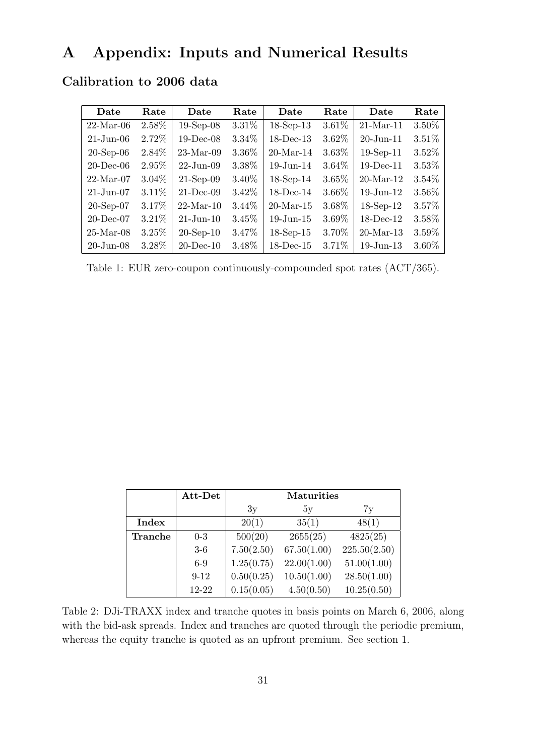## A Appendix: Inputs and Numerical Results

| Date            | Rate     | Date            | Rate     | Date                   | Rate     | Date            | Rate     |
|-----------------|----------|-----------------|----------|------------------------|----------|-----------------|----------|
| $22$ -Mar-06    | 2.58%    | $19-Sep-08$     | $3.31\%$ | $18$ -Sep- $13$        | 3.61%    | $21-Mar-11$     | 3.50%    |
| $21 - Jun-06$   | 2.72\%   | $19$ -Dec-08    | 3.34\%   | $18$ -Dec-13           | 3.62%    | $20 - Jun-11$   | $3.51\%$ |
| $20$ -Sep-06    | 2.84\%   | $23-Mar-09$     | 3.36%    | $20$ -Mar-14           | $3.63\%$ | $19-Sep-11$     | 3.52%    |
| $20$ -Dec-06    | 2.95%    | $22 - Jun-09$   | 3.38\%   | $19 - \text{Jun} - 14$ | $3.64\%$ | $19$ -Dec-11    | 3.53%    |
| $22$ -Mar-07    | $3.04\%$ | $21-Sep-09$     | 3.40\%   | $18$ -Sep-14           | $3.65\%$ | $20$ -Mar-12    | $3.54\%$ |
| $21 - Jun-07$   | $3.11\%$ | $21$ -Dec-09    | $3.42\%$ | $18$ -Dec-14           | $3.66\%$ | $19$ -Jun- $12$ | 3.56\%   |
| $20$ -Sep-07    | 3.17%    | $22$ -Mar-10    | 3.44\%   | $20$ -Mar-15           | 3.68%    | $18$ -Sep- $12$ | 3.57%    |
| $20$ -Dec-07    | $3.21\%$ | $21-J$ un- $10$ | $3.45\%$ | $19 - Jun - 15$        | 3.69%    | $18$ -Dec- $12$ | 3.58%    |
| $25$ -Mar-08    | 3.25%    | $20$ -Sep-10    | 3.47%    | $18$ -Sep- $15$        | 3.70%    | $20$ -Mar-13    | 3.59%    |
| $20$ -Jun- $08$ | 3.28%    | $20$ -Dec-10    | 3.48\%   | $18$ -Dec- $15$        | 3.71\%   | $19$ -Jun- $13$ | 3.60%    |

Calibration to 2006 data

|  | Table 1: EUR zero-coupon continuously-compounded spot rates $(ACT/365)$ . |  |  |  |
|--|---------------------------------------------------------------------------|--|--|--|
|  |                                                                           |  |  |  |

|                | $Att-Det$ |            | <b>Maturities</b> |              |
|----------------|-----------|------------|-------------------|--------------|
|                |           | 3y         | 5y                | 7y           |
| Index          |           | 20(1)      | 35(1)             | 48(1)        |
| <b>Tranche</b> | $0 - 3$   | 500(20)    | 2655(25)          | 4825(25)     |
|                | $3-6$     | 7.50(2.50) | 67.50(1.00)       | 225.50(2.50) |
|                | $6-9$     | 1.25(0.75) | 22.00(1.00)       | 51.00(1.00)  |
|                | $9 - 12$  | 0.50(0.25) | 10.50(1.00)       | 28.50(1.00)  |
|                | 12-22     | 0.15(0.05) | 4.50(0.50)        | 10.25(0.50)  |

Table 2: DJi-TRAXX index and tranche quotes in basis points on March 6, 2006, along with the bid-ask spreads. Index and tranches are quoted through the periodic premium, whereas the equity tranche is quoted as an upfront premium. See section 1.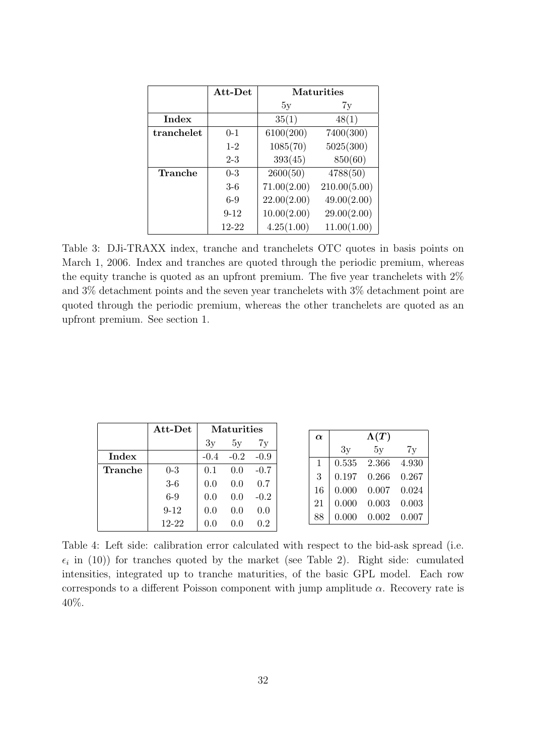|                | $Att-Det$ |             | <b>Maturities</b> |
|----------------|-----------|-------------|-------------------|
|                |           | 5y          | 7y                |
| <b>Index</b>   |           | 35(1)       | 48(1)             |
| tranchelet     | $0 - 1$   | 6100(200)   | 7400(300)         |
|                | $1-2$     | 1085(70)    | 5025(300)         |
|                | $2 - 3$   | 393(45)     | 850(60)           |
| <b>Tranche</b> | $0 - 3$   | 2600(50)    | 4788(50)          |
|                | $3-6$     | 71.00(2.00) | 210.00(5.00)      |
|                | $6-9$     | 22.00(2.00) | 49.00(2.00)       |
|                | $9 - 12$  | 10.00(2.00) | 29.00(2.00)       |
|                | 12-22     | 4.25(1.00)  | 11.00(1.00)       |

Table 3: DJi-TRAXX index, tranche and tranchelets OTC quotes in basis points on March 1, 2006. Index and tranches are quoted through the periodic premium, whereas the equity tranche is quoted as an upfront premium. The five year tranchelets with 2% and 3% detachment points and the seven year tranchelets with 3% detachment point are quoted through the periodic premium, whereas the other tranchelets are quoted as an upfront premium. See section 1.

|                | Att-Det  |        | <b>Maturities</b> |        |          |       |              |       |
|----------------|----------|--------|-------------------|--------|----------|-------|--------------|-------|
|                |          |        |                   |        | $\alpha$ |       | $\Lambda(T)$ |       |
|                |          | 3y     | 5y                | 7y     |          | 3y    | 5y           | 7v    |
| Index          |          | $-0.4$ | $-0.2$            | $-0.9$ |          |       |              |       |
| <b>Tranche</b> | $0-3$    | 0.1    | 0.0               | $-0.7$ |          | 0.535 | 2.366        | 4.930 |
|                |          |        |                   |        | 3        | 0.197 | 0.266        | 0.267 |
|                | $3-6$    | 0.0    | 0.0               | 0.7    | 16       | 0.000 | 0.007        | 0.024 |
|                | $6-9$    | 0.0    | 0.0               | $-0.2$ |          |       |              |       |
|                | $9 - 12$ | 0.0    | 0.0               | 0.0    | 21       | 0.000 | 0.003        | 0.003 |
|                |          |        |                   |        | 88       | 0.000 | 0.002        | 0.007 |
|                | 12-22    | 0.0    | (1.0)             | 0.2    |          |       |              |       |

Table 4: Left side: calibration error calculated with respect to the bid-ask spread (i.e.  $\epsilon_i$  in (10)) for tranches quoted by the market (see Table 2). Right side: cumulated intensities, integrated up to tranche maturities, of the basic GPL model. Each row corresponds to a different Poisson component with jump amplitude  $\alpha$ . Recovery rate is 40%.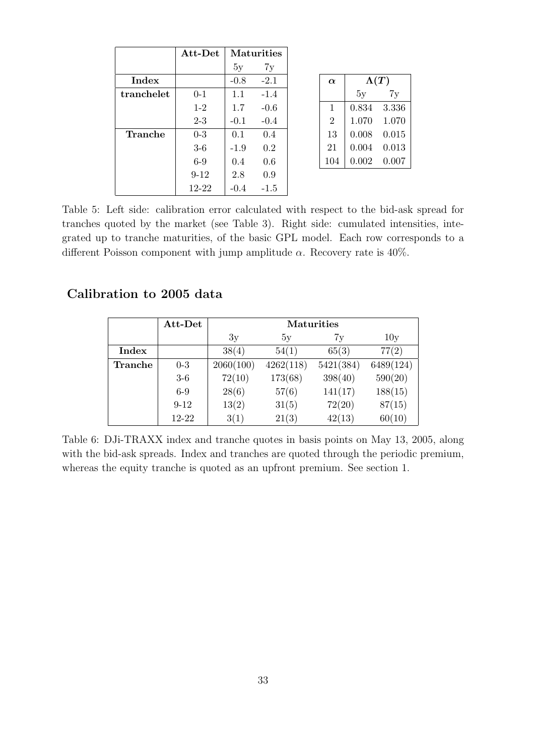|                | Att-Det   |        | <b>Maturities</b> |
|----------------|-----------|--------|-------------------|
|                |           | 5y     | 7y                |
| Index          |           | $-0.8$ | $-2.1$            |
| tranchelet     | $0 - 1$   | 1.1    | $-1.4$            |
|                | $1-2$     | 1.7    | $-0.6$            |
|                | $2 - 3$   | $-0.1$ | $-0.4$            |
| <b>Tranche</b> | $0 - 3$   | 0.1    | 0.4               |
|                | $3-6$     | $-1.9$ | 0.2               |
|                | $6-9$     | 0.4    | 0.6               |
|                | $9 - 12$  | 2.8    | 0.9               |
|                | $12 - 22$ | $-0.4$ | $-1.5$            |

| $\alpha$       | $\Lambda(T)$ |       |  |  |
|----------------|--------------|-------|--|--|
|                | 5y           | 7y    |  |  |
| 1              | 0.834        | 3.336 |  |  |
| $\overline{2}$ | 1.070        | 1.070 |  |  |
| 13             | 0.008        | 0.015 |  |  |
| 21             | 0.004        | 0.013 |  |  |
| 104            | 0.002        | 0.007 |  |  |

Table 5: Left side: calibration error calculated with respect to the bid-ask spread for tranches quoted by the market (see Table 3). Right side: cumulated intensities, integrated up to tranche maturities, of the basic GPL model. Each row corresponds to a different Poisson component with jump amplitude  $\alpha$ . Recovery rate is 40%.

### Calibration to 2005 data

|                | Att-Det  | <b>Maturities</b> |           |           |           |  |  |
|----------------|----------|-------------------|-----------|-----------|-----------|--|--|
|                |          | 3y                | 5y        | 7y        | 10y       |  |  |
| Index          |          | 38(4)             | 54(1)     | 65(3)     | 77(2)     |  |  |
| <b>Tranche</b> | $0-3$    | 2060(100)         | 4262(118) | 5421(384) | 6489(124) |  |  |
|                | $3-6$    | 72(10)            | 173(68)   | 398(40)   | 590(20)   |  |  |
|                | $6-9$    | 28(6)             | 57(6)     | 141(17)   | 188(15)   |  |  |
|                | $9 - 12$ | 13(2)             | 31(5)     | 72(20)    | 87(15)    |  |  |
|                | 12-22    | 3(1)              | 21(3)     | 42(13)    | 60(10)    |  |  |

Table 6: DJi-TRAXX index and tranche quotes in basis points on May 13, 2005, along with the bid-ask spreads. Index and tranches are quoted through the periodic premium, whereas the equity tranche is quoted as an upfront premium. See section 1.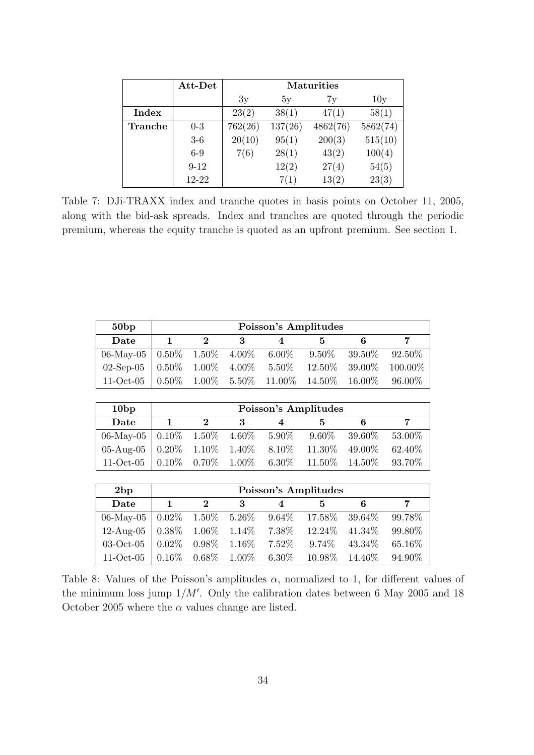|                | $Att-Det$ | <b>Maturities</b> |         |          |          |  |
|----------------|-----------|-------------------|---------|----------|----------|--|
|                |           | 3y                | 5y      | 7y       | 10y      |  |
| Index          |           | 23(2)             | 38(1)   | 47(1)    | 58(1)    |  |
| <b>Tranche</b> | $0-3$     | 762(26)           | 137(26) | 4862(76) | 5862(74) |  |
|                | $3-6$     | 20(10)            | 95(1)   | 200(3)   | 515(10)  |  |
|                | $6-9$     | 7(6)              | 28(1)   | 43(2)    | 100(4)   |  |
|                | $9 - 12$  |                   | 12(2)   | 27(4)    | 54(5)    |  |
|                | $12 - 22$ |                   | 7(1)    | 13(2)    | 23(3)    |  |

Table 7: DJi-TRAXX index and tranche quotes in basis points on October 11, 2005, along with the bid-ask spreads. Index and tranches are quoted through the periodic premium, whereas the equity tranche is quoted as an upfront premium. See section 1.

| 50bp                                                                                                       | Poisson's Amplitudes |    |  |    |  |  |  |  |  |
|------------------------------------------------------------------------------------------------------------|----------------------|----|--|----|--|--|--|--|--|
| Date                                                                                                       | $\mathbf{2}$         | -3 |  | ħ. |  |  |  |  |  |
| 06-May-05   $0.50\%$ 1.50% 4.00% 6.00% 9.50% 39.50% 92.50%                                                 |                      |    |  |    |  |  |  |  |  |
| 02-Sep-05 $\big  0.50\% \quad 1.00\% \quad 4.00\% \quad 5.50\% \quad 12.50\% \quad 39.00\% \quad 100.00\%$ |                      |    |  |    |  |  |  |  |  |
| $11-Oct-05$ 0.50\% 1.00\% 5.50\% 11.00\% 14.50\% 16.00\% 96.00\%                                           |                      |    |  |    |  |  |  |  |  |

| 10bp                                                                       |              | Poisson's Amplitudes    |     |  |   |  |  |  |  |  |
|----------------------------------------------------------------------------|--------------|-------------------------|-----|--|---|--|--|--|--|--|
| Date                                                                       | $\mathbf{1}$ | $\overline{\mathbf{2}}$ | - 3 |  | 5 |  |  |  |  |  |
| 06-May-05   $0.10\%$ 1.50% 4.60% 5.90% 9.60% 39.60% 53.00%                 |              |                         |     |  |   |  |  |  |  |  |
| $0.05 - \text{Aug-05}$ 0.20\% 1.10\% 1.40\% 8.10\% 11.30\% 49.00\% 62.40\% |              |                         |     |  |   |  |  |  |  |  |
| $11-Oct-05$ 0.10\% 0.70\% 1.00\% 6.30\% 11.50\% 14.50\% 93.70\%            |              |                         |     |  |   |  |  |  |  |  |

| 2bp                                                                                       | Poisson's Amplitudes |                         |   |  |   |   |  |
|-------------------------------------------------------------------------------------------|----------------------|-------------------------|---|--|---|---|--|
| Date                                                                                      | $\overline{1}$       | $\overline{\mathbf{2}}$ | 3 |  | 5 | 6 |  |
| 06-May-05   $0.02\%$ 1.50% 5.26% 9.64% 17.58% 39.64% 99.78%                               |                      |                         |   |  |   |   |  |
| $12-Aug-05$ 0.38\% 1.06\% 1.14\% 7.38\% 12.24\% 41.34\% 99.80\%                           |                      |                         |   |  |   |   |  |
| $03\text{-}$ Oct-05 $\big 0.02\%$ $0.98\%$ $1.16\%$ $7.52\%$ $9.74\%$ $43.34\%$ $65.16\%$ |                      |                         |   |  |   |   |  |
| $11\text{-Oct-05}$ 0.16\% 0.68\% 1.00\% 6.30\% 10.98\% 14.46\% 94.90\%                    |                      |                         |   |  |   |   |  |

Table 8: Values of the Poisson's amplitudes  $\alpha$ , normalized to 1, for different values of the minimum loss jump  $1/M'$ . Only the calibration dates between 6 May 2005 and 18 October 2005 where the  $\alpha$  values change are listed.